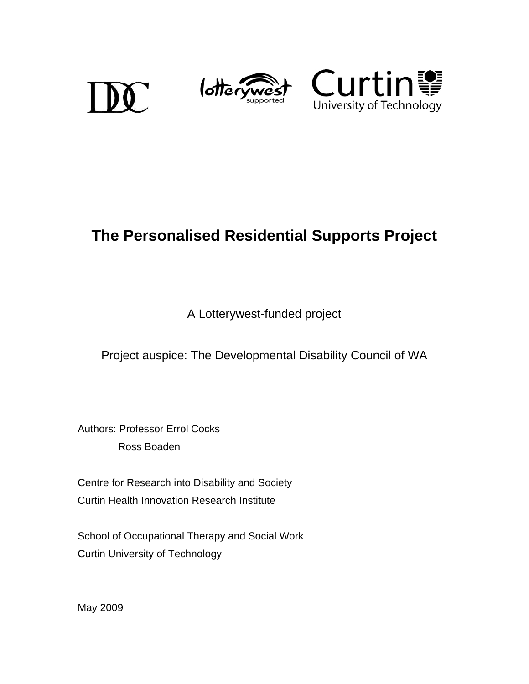





# **The Personalised Residential Supports Project**

A Lotterywest-funded project

Project auspice: The Developmental Disability Council of WA

Authors: Professor Errol Cocks Ross Boaden

Centre for Research into Disability and Society Curtin Health Innovation Research Institute

School of Occupational Therapy and Social Work Curtin University of Technology

May 2009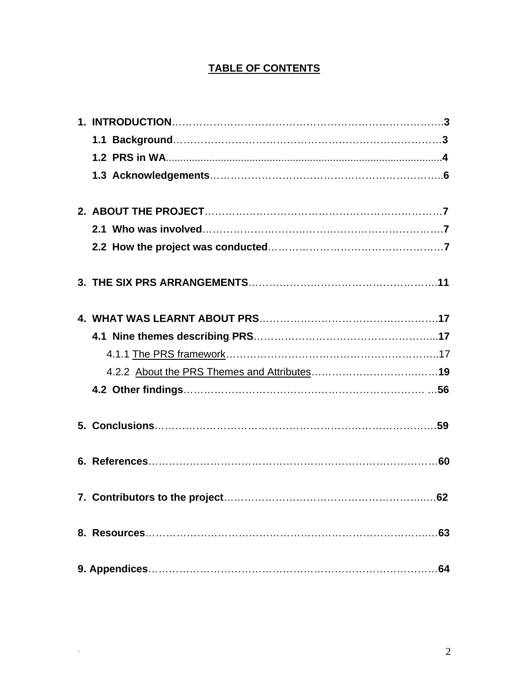### **TABLE OF CONTENTS**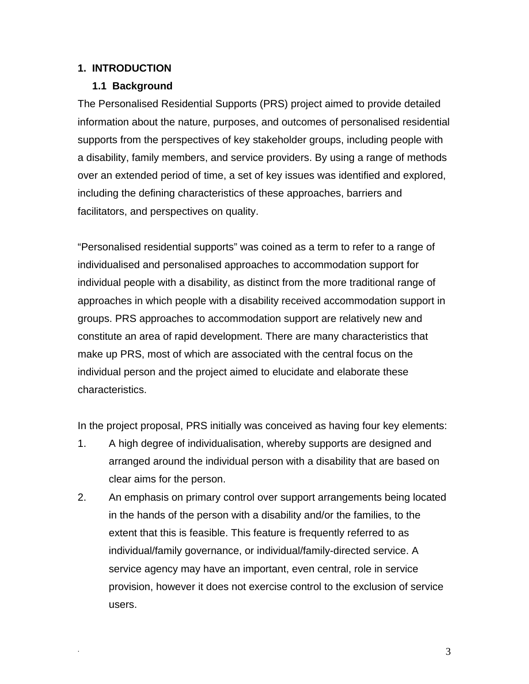#### **1. INTRODUCTION**

#### **1.1 Background**

The Personalised Residential Supports (PRS) project aimed to provide detailed information about the nature, purposes, and outcomes of personalised residential supports from the perspectives of key stakeholder groups, including people with a disability, family members, and service providers. By using a range of methods over an extended period of time, a set of key issues was identified and explored, including the defining characteristics of these approaches, barriers and facilitators, and perspectives on quality.

"Personalised residential supports" was coined as a term to refer to a range of individualised and personalised approaches to accommodation support for individual people with a disability, as distinct from the more traditional range of approaches in which people with a disability received accommodation support in groups. PRS approaches to accommodation support are relatively new and constitute an area of rapid development. There are many characteristics that make up PRS, most of which are associated with the central focus on the individual person and the project aimed to elucidate and elaborate these characteristics.

In the project proposal, PRS initially was conceived as having four key elements:

- 1. A high degree of individualisation, whereby supports are designed and arranged around the individual person with a disability that are based on clear aims for the person.
- 2. An emphasis on primary control over support arrangements being located in the hands of the person with a disability and/or the families, to the extent that this is feasible. This feature is frequently referred to as individual/family governance, or individual/family-directed service. A service agency may have an important, even central, role in service provision, however it does not exercise control to the exclusion of service users.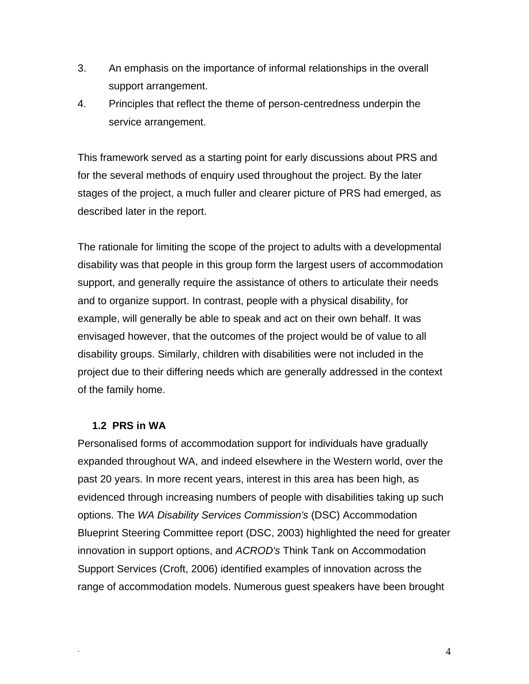- 3. An emphasis on the importance of informal relationships in the overall support arrangement.
- 4. Principles that reflect the theme of person-centredness underpin the service arrangement.

This framework served as a starting point for early discussions about PRS and for the several methods of enquiry used throughout the project. By the later stages of the project, a much fuller and clearer picture of PRS had emerged, as described later in the report.

The rationale for limiting the scope of the project to adults with a developmental disability was that people in this group form the largest users of accommodation support, and generally require the assistance of others to articulate their needs and to organize support. In contrast, people with a physical disability, for example, will generally be able to speak and act on their own behalf. It was envisaged however, that the outcomes of the project would be of value to all disability groups. Similarly, children with disabilities were not included in the project due to their differing needs which are generally addressed in the context of the family home.

#### **1.2 PRS in WA**

Personalised forms of accommodation support for individuals have gradually expanded throughout WA, and indeed elsewhere in the Western world, over the past 20 years. In more recent years, interest in this area has been high, as evidenced through increasing numbers of people with disabilities taking up such options. The *WA Disability Services Commission's* (DSC) Accommodation Blueprint Steering Committee report (DSC, 2003) highlighted the need for greater innovation in support options, and *ACROD's* Think Tank on Accommodation Support Services (Croft, 2006) identified examples of innovation across the range of accommodation models. Numerous guest speakers have been brought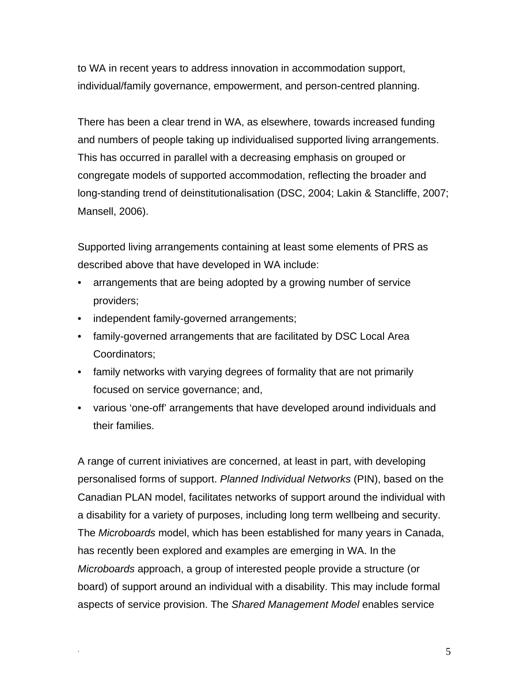to WA in recent years to address innovation in accommodation support, individual/family governance, empowerment, and person-centred planning.

There has been a clear trend in WA, as elsewhere, towards increased funding and numbers of people taking up individualised supported living arrangements. This has occurred in parallel with a decreasing emphasis on grouped or congregate models of supported accommodation, reflecting the broader and long-standing trend of deinstitutionalisation (DSC, 2004; Lakin & Stancliffe, 2007; Mansell, 2006).

Supported living arrangements containing at least some elements of PRS as described above that have developed in WA include:

- arrangements that are being adopted by a growing number of service providers;
- independent family-governed arrangements;
- family-governed arrangements that are facilitated by DSC Local Area Coordinators;
- family networks with varying degrees of formality that are not primarily focused on service governance; and,
- various 'one-off' arrangements that have developed around individuals and their families.

A range of current iniviatives are concerned, at least in part, with developing personalised forms of support. *Planned Individual Networks* (PIN), based on the Canadian PLAN model, facilitates networks of support around the individual with a disability for a variety of purposes, including long term wellbeing and security. The *Microboards* model, which has been established for many years in Canada, has recently been explored and examples are emerging in WA. In the *Microboards* approach, a group of interested people provide a structure (or board) of support around an individual with a disability. This may include formal aspects of service provision. The *Shared Management Model* enables service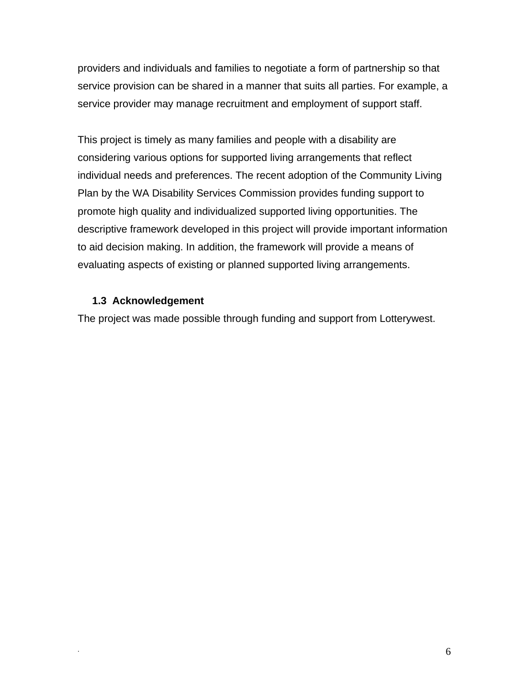providers and individuals and families to negotiate a form of partnership so that service provision can be shared in a manner that suits all parties. For example, a service provider may manage recruitment and employment of support staff.

This project is timely as many families and people with a disability are considering various options for supported living arrangements that reflect individual needs and preferences. The recent adoption of the Community Living Plan by the WA Disability Services Commission provides funding support to promote high quality and individualized supported living opportunities. The descriptive framework developed in this project will provide important information to aid decision making. In addition, the framework will provide a means of evaluating aspects of existing or planned supported living arrangements.

#### **1.3 Acknowledgement**

The project was made possible through funding and support from Lotterywest.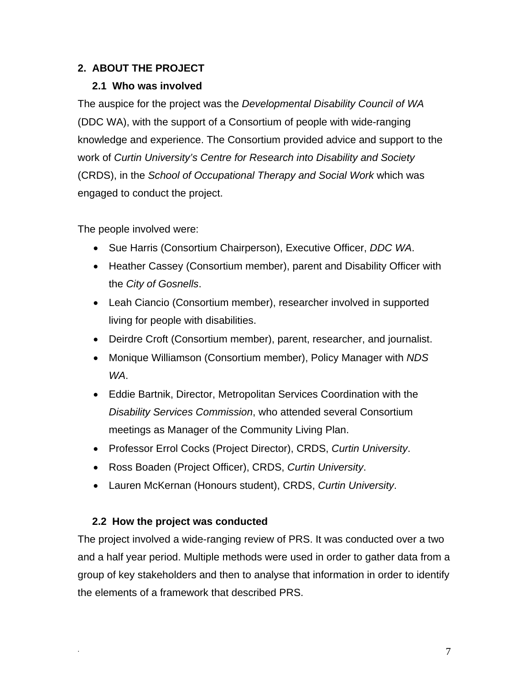### **2. ABOUT THE PROJECT**

#### **2.1 Who was involved**

The auspice for the project was the *Developmental Disability Council of WA* (DDC WA), with the support of a Consortium of people with wide-ranging knowledge and experience. The Consortium provided advice and support to the work of *Curtin University's Centre for Research into Disability and Society* (CRDS), in the *School of Occupational Therapy and Social Work* which was engaged to conduct the project.

The people involved were:

- Sue Harris (Consortium Chairperson), Executive Officer, *DDC WA*.
- Heather Cassey (Consortium member), parent and Disability Officer with the *City of Gosnells*.
- Leah Ciancio (Consortium member), researcher involved in supported living for people with disabilities.
- Deirdre Croft (Consortium member), parent, researcher, and journalist.
- Monique Williamson (Consortium member), Policy Manager with *NDS WA*.
- Eddie Bartnik, Director, Metropolitan Services Coordination with the *Disability Services Commission*, who attended several Consortium meetings as Manager of the Community Living Plan.
- Professor Errol Cocks (Project Director), CRDS, *Curtin University*.
- Ross Boaden (Project Officer), CRDS, *Curtin University*.
- Lauren McKernan (Honours student), CRDS, *Curtin University*.

### **2.2 How the project was conducted**

The project involved a wide-ranging review of PRS. It was conducted over a two and a half year period. Multiple methods were used in order to gather data from a group of key stakeholders and then to analyse that information in order to identify the elements of a framework that described PRS.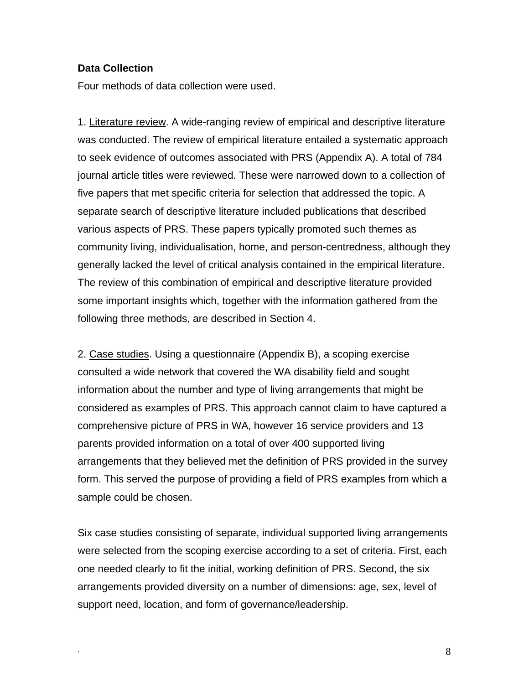#### **Data Collection**

Four methods of data collection were used.

1. Literature review. A wide-ranging review of empirical and descriptive literature was conducted. The review of empirical literature entailed a systematic approach to seek evidence of outcomes associated with PRS (Appendix A). A total of 784 journal article titles were reviewed. These were narrowed down to a collection of five papers that met specific criteria for selection that addressed the topic. A separate search of descriptive literature included publications that described various aspects of PRS. These papers typically promoted such themes as community living, individualisation, home, and person-centredness, although they generally lacked the level of critical analysis contained in the empirical literature. The review of this combination of empirical and descriptive literature provided some important insights which, together with the information gathered from the following three methods, are described in Section 4.

2. Case studies. Using a questionnaire (Appendix B), a scoping exercise consulted a wide network that covered the WA disability field and sought information about the number and type of living arrangements that might be considered as examples of PRS. This approach cannot claim to have captured a comprehensive picture of PRS in WA, however 16 service providers and 13 parents provided information on a total of over 400 supported living arrangements that they believed met the definition of PRS provided in the survey form. This served the purpose of providing a field of PRS examples from which a sample could be chosen.

Six case studies consisting of separate, individual supported living arrangements were selected from the scoping exercise according to a set of criteria. First, each one needed clearly to fit the initial, working definition of PRS. Second, the six arrangements provided diversity on a number of dimensions: age, sex, level of support need, location, and form of governance/leadership.

. 8 a set of the set of the set of the set of the set of the set of the set of the set of the set of the set o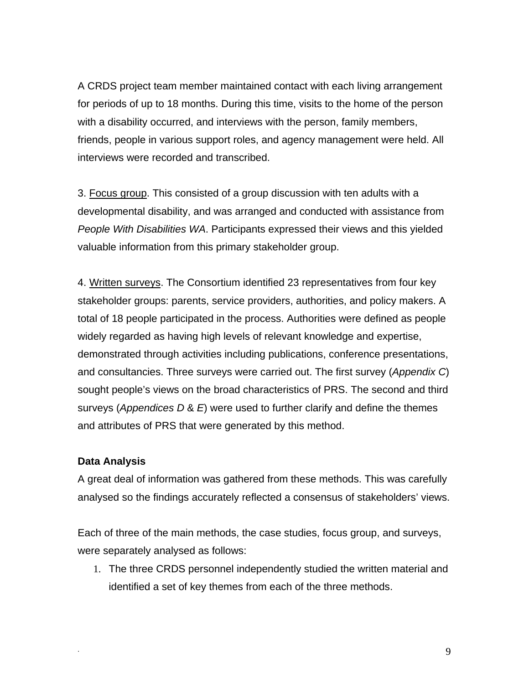A CRDS project team member maintained contact with each living arrangement for periods of up to 18 months. During this time, visits to the home of the person with a disability occurred, and interviews with the person, family members, friends, people in various support roles, and agency management were held. All interviews were recorded and transcribed.

3. Focus group. This consisted of a group discussion with ten adults with a developmental disability, and was arranged and conducted with assistance from *People With Disabilities WA*. Participants expressed their views and this yielded valuable information from this primary stakeholder group.

4. Written surveys. The Consortium identified 23 representatives from four key stakeholder groups: parents, service providers, authorities, and policy makers. A total of 18 people participated in the process. Authorities were defined as people widely regarded as having high levels of relevant knowledge and expertise, demonstrated through activities including publications, conference presentations, and consultancies. Three surveys were carried out. The first survey (*Appendix C*) sought people's views on the broad characteristics of PRS. The second and third surveys (*Appendices D* & *E*) were used to further clarify and define the themes and attributes of PRS that were generated by this method.

#### **Data Analysis**

A great deal of information was gathered from these methods. This was carefully analysed so the findings accurately reflected a consensus of stakeholders' views.

Each of three of the main methods, the case studies, focus group, and surveys, were separately analysed as follows:

1. The three CRDS personnel independently studied the written material and identified a set of key themes from each of the three methods.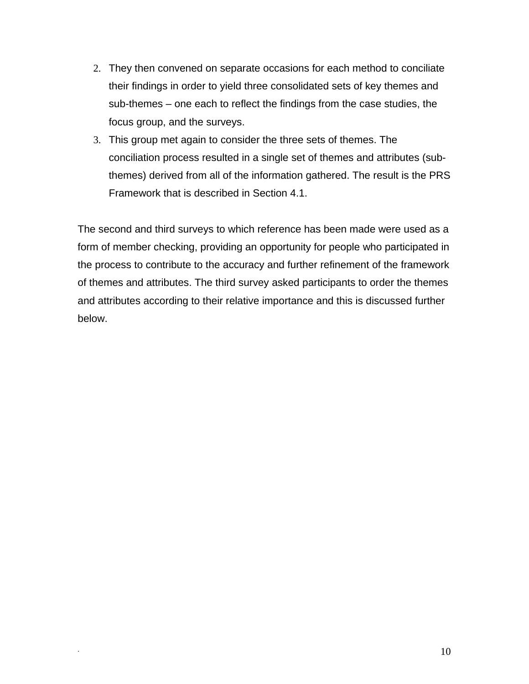- 2. They then convened on separate occasions for each method to conciliate their findings in order to yield three consolidated sets of key themes and sub-themes – one each to reflect the findings from the case studies, the focus group, and the surveys.
- 3. This group met again to consider the three sets of themes. The conciliation process resulted in a single set of themes and attributes (subthemes) derived from all of the information gathered. The result is the PRS Framework that is described in Section 4.1.

The second and third surveys to which reference has been made were used as a form of member checking, providing an opportunity for people who participated in the process to contribute to the accuracy and further refinement of the framework of themes and attributes. The third survey asked participants to order the themes and attributes according to their relative importance and this is discussed further below.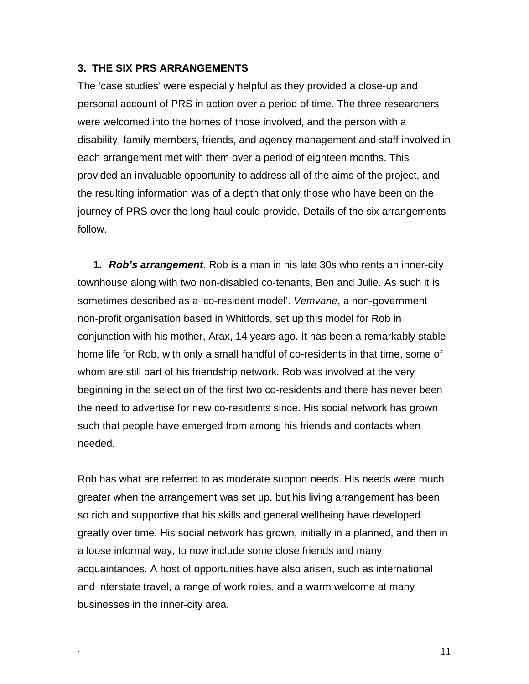#### **3. THE SIX PRS ARRANGEMENTS**

The 'case studies' were especially helpful as they provided a close-up and personal account of PRS in action over a period of time. The three researchers were welcomed into the homes of those involved, and the person with a disability, family members, friends, and agency management and staff involved in each arrangement met with them over a period of eighteen months. This provided an invaluable opportunity to address all of the aims of the project, and the resulting information was of a depth that only those who have been on the journey of PRS over the long haul could provide. Details of the six arrangements follow.

**1.** *Rob's arrangement*. Rob is a man in his late 30s who rents an inner-city townhouse along with two non-disabled co-tenants, Ben and Julie. As such it is sometimes described as a 'co-resident model'. *Vemvane*, a non-government non-profit organisation based in Whitfords, set up this model for Rob in conjunction with his mother, Arax, 14 years ago. It has been a remarkably stable home life for Rob, with only a small handful of co-residents in that time, some of whom are still part of his friendship network. Rob was involved at the very beginning in the selection of the first two co-residents and there has never been the need to advertise for new co-residents since. His social network has grown such that people have emerged from among his friends and contacts when needed.

Rob has what are referred to as moderate support needs. His needs were much greater when the arrangement was set up, but his living arrangement has been so rich and supportive that his skills and general wellbeing have developed greatly over time. His social network has grown, initially in a planned, and then in a loose informal way, to now include some close friends and many acquaintances. A host of opportunities have also arisen, such as international and interstate travel, a range of work roles, and a warm welcome at many businesses in the inner-city area.

. The contract of the contract of the contract of  $11$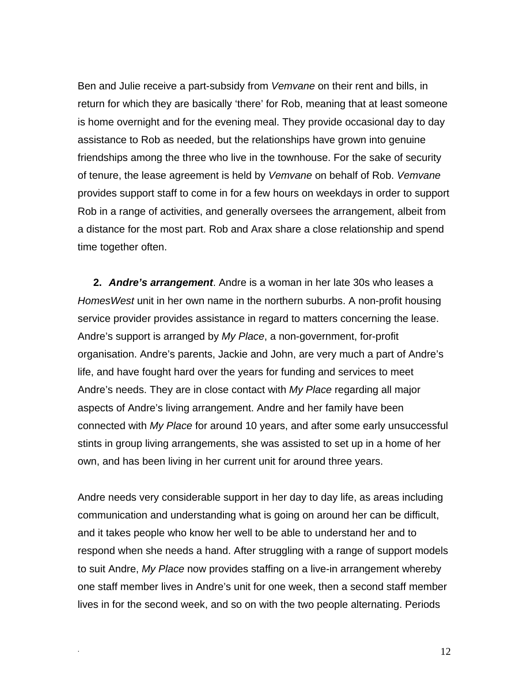Ben and Julie receive a part-subsidy from *Vemvane* on their rent and bills, in return for which they are basically 'there' for Rob, meaning that at least someone is home overnight and for the evening meal. They provide occasional day to day assistance to Rob as needed, but the relationships have grown into genuine friendships among the three who live in the townhouse. For the sake of security of tenure, the lease agreement is held by *Vemvane* on behalf of Rob. *Vemvane* provides support staff to come in for a few hours on weekdays in order to support Rob in a range of activities, and generally oversees the arrangement, albeit from a distance for the most part. Rob and Arax share a close relationship and spend time together often.

**2.** *Andre's arrangement*. Andre is a woman in her late 30s who leases a *HomesWest* unit in her own name in the northern suburbs. A non-profit housing service provider provides assistance in regard to matters concerning the lease. Andre's support is arranged by *My Place*, a non-government, for-profit organisation. Andre's parents, Jackie and John, are very much a part of Andre's life, and have fought hard over the years for funding and services to meet Andre's needs. They are in close contact with *My Place* regarding all major aspects of Andre's living arrangement. Andre and her family have been connected with *My Place* for around 10 years, and after some early unsuccessful stints in group living arrangements, she was assisted to set up in a home of her own, and has been living in her current unit for around three years.

Andre needs very considerable support in her day to day life, as areas including communication and understanding what is going on around her can be difficult, and it takes people who know her well to be able to understand her and to respond when she needs a hand. After struggling with a range of support models to suit Andre, *My Place* now provides staffing on a live-in arrangement whereby one staff member lives in Andre's unit for one week, then a second staff member lives in for the second week, and so on with the two people alternating. Periods

 $\frac{12}{2}$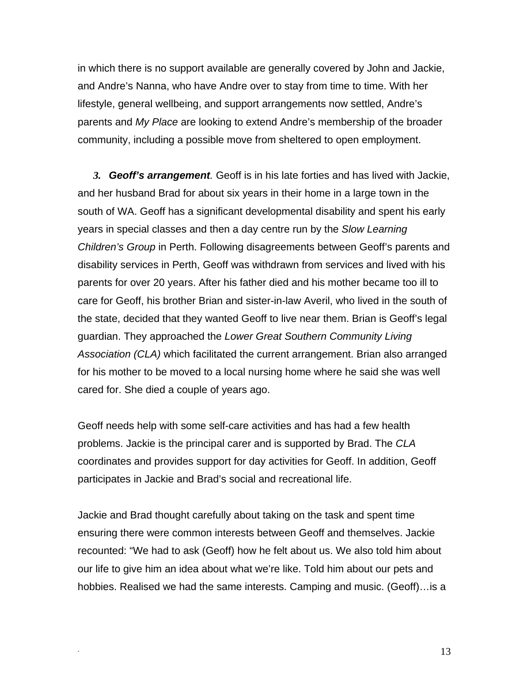in which there is no support available are generally covered by John and Jackie, and Andre's Nanna, who have Andre over to stay from time to time. With her lifestyle, general wellbeing, and support arrangements now settled, Andre's parents and *My Place* are looking to extend Andre's membership of the broader community, including a possible move from sheltered to open employment.

*3. Geoff's arrangement.* Geoff is in his late forties and has lived with Jackie, and her husband Brad for about six years in their home in a large town in the south of WA. Geoff has a significant developmental disability and spent his early years in special classes and then a day centre run by the *Slow Learning Children's Group* in Perth. Following disagreements between Geoff's parents and disability services in Perth, Geoff was withdrawn from services and lived with his parents for over 20 years. After his father died and his mother became too ill to care for Geoff, his brother Brian and sister-in-law Averil, who lived in the south of the state, decided that they wanted Geoff to live near them. Brian is Geoff's legal guardian. They approached the *Lower Great Southern Community Living Association (CLA)* which facilitated the current arrangement. Brian also arranged for his mother to be moved to a local nursing home where he said she was well cared for. She died a couple of years ago.

Geoff needs help with some self-care activities and has had a few health problems. Jackie is the principal carer and is supported by Brad. The *CLA* coordinates and provides support for day activities for Geoff. In addition, Geoff participates in Jackie and Brad's social and recreational life.

Jackie and Brad thought carefully about taking on the task and spent time ensuring there were common interests between Geoff and themselves. Jackie recounted: "We had to ask (Geoff) how he felt about us. We also told him about our life to give him an idea about what we're like. Told him about our pets and hobbies. Realised we had the same interests. Camping and music. (Geoff)…is a

 $\frac{13}{2}$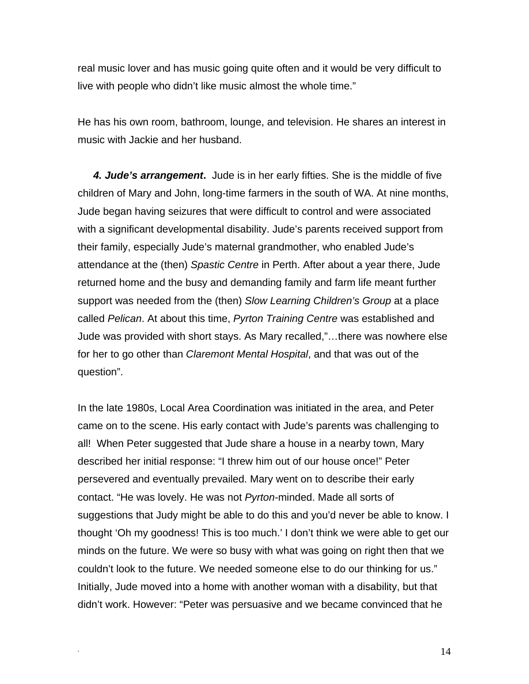real music lover and has music going quite often and it would be very difficult to live with people who didn't like music almost the whole time."

He has his own room, bathroom, lounge, and television. He shares an interest in music with Jackie and her husband.

*4. Jude's arrangement***.** Jude is in her early fifties. She is the middle of five children of Mary and John, long-time farmers in the south of WA. At nine months, Jude began having seizures that were difficult to control and were associated with a significant developmental disability. Jude's parents received support from their family, especially Jude's maternal grandmother, who enabled Jude's attendance at the (then) *Spastic Centre* in Perth. After about a year there, Jude returned home and the busy and demanding family and farm life meant further support was needed from the (then) *Slow Learning Children's Group* at a place called *Pelican*. At about this time, *Pyrton Training Centre* was established and Jude was provided with short stays. As Mary recalled,"…there was nowhere else for her to go other than *Claremont Mental Hospital*, and that was out of the question".

In the late 1980s, Local Area Coordination was initiated in the area, and Peter came on to the scene. His early contact with Jude's parents was challenging to all! When Peter suggested that Jude share a house in a nearby town, Mary described her initial response: "I threw him out of our house once!" Peter persevered and eventually prevailed. Mary went on to describe their early contact. "He was lovely. He was not *Pyrton*-minded. Made all sorts of suggestions that Judy might be able to do this and you'd never be able to know. I thought 'Oh my goodness! This is too much.' I don't think we were able to get our minds on the future. We were so busy with what was going on right then that we couldn't look to the future. We needed someone else to do our thinking for us." Initially, Jude moved into a home with another woman with a disability, but that didn't work. However: "Peter was persuasive and we became convinced that he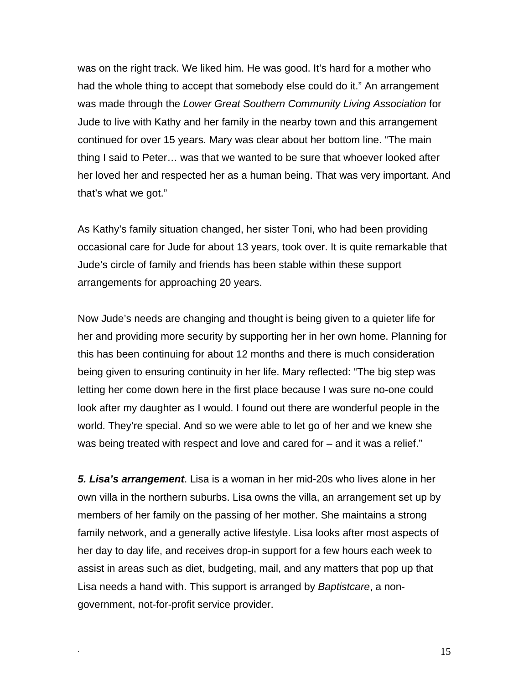was on the right track. We liked him. He was good. It's hard for a mother who had the whole thing to accept that somebody else could do it." An arrangement was made through the *Lower Great Southern Community Living Association* for Jude to live with Kathy and her family in the nearby town and this arrangement continued for over 15 years. Mary was clear about her bottom line. "The main thing I said to Peter… was that we wanted to be sure that whoever looked after her loved her and respected her as a human being. That was very important. And that's what we got."

As Kathy's family situation changed, her sister Toni, who had been providing occasional care for Jude for about 13 years, took over. It is quite remarkable that Jude's circle of family and friends has been stable within these support arrangements for approaching 20 years.

Now Jude's needs are changing and thought is being given to a quieter life for her and providing more security by supporting her in her own home. Planning for this has been continuing for about 12 months and there is much consideration being given to ensuring continuity in her life. Mary reflected: "The big step was letting her come down here in the first place because I was sure no-one could look after my daughter as I would. I found out there are wonderful people in the world. They're special. And so we were able to let go of her and we knew she was being treated with respect and love and cared for – and it was a relief."

*5. Lisa's arrangement*. Lisa is a woman in her mid-20s who lives alone in her own villa in the northern suburbs. Lisa owns the villa, an arrangement set up by members of her family on the passing of her mother. She maintains a strong family network, and a generally active lifestyle. Lisa looks after most aspects of her day to day life, and receives drop-in support for a few hours each week to assist in areas such as diet, budgeting, mail, and any matters that pop up that Lisa needs a hand with. This support is arranged by *Baptistcare*, a nongovernment, not-for-profit service provider.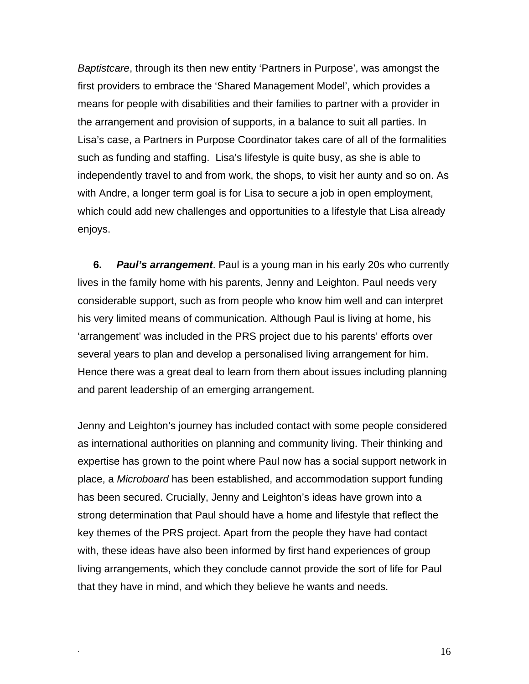*Baptistcare*, through its then new entity 'Partners in Purpose', was amongst the first providers to embrace the 'Shared Management Model', which provides a means for people with disabilities and their families to partner with a provider in the arrangement and provision of supports, in a balance to suit all parties. In Lisa's case, a Partners in Purpose Coordinator takes care of all of the formalities such as funding and staffing. Lisa's lifestyle is quite busy, as she is able to independently travel to and from work, the shops, to visit her aunty and so on. As with Andre, a longer term goal is for Lisa to secure a job in open employment, which could add new challenges and opportunities to a lifestyle that Lisa already enjoys.

**6.** *Paul's arrangement*. Paul is a young man in his early 20s who currently lives in the family home with his parents, Jenny and Leighton. Paul needs very considerable support, such as from people who know him well and can interpret his very limited means of communication. Although Paul is living at home, his 'arrangement' was included in the PRS project due to his parents' efforts over several years to plan and develop a personalised living arrangement for him. Hence there was a great deal to learn from them about issues including planning and parent leadership of an emerging arrangement.

Jenny and Leighton's journey has included contact with some people considered as international authorities on planning and community living. Their thinking and expertise has grown to the point where Paul now has a social support network in place, a *Microboard* has been established, and accommodation support funding has been secured. Crucially, Jenny and Leighton's ideas have grown into a strong determination that Paul should have a home and lifestyle that reflect the key themes of the PRS project. Apart from the people they have had contact with, these ideas have also been informed by first hand experiences of group living arrangements, which they conclude cannot provide the sort of life for Paul that they have in mind, and which they believe he wants and needs.

. The state of the state of  $16$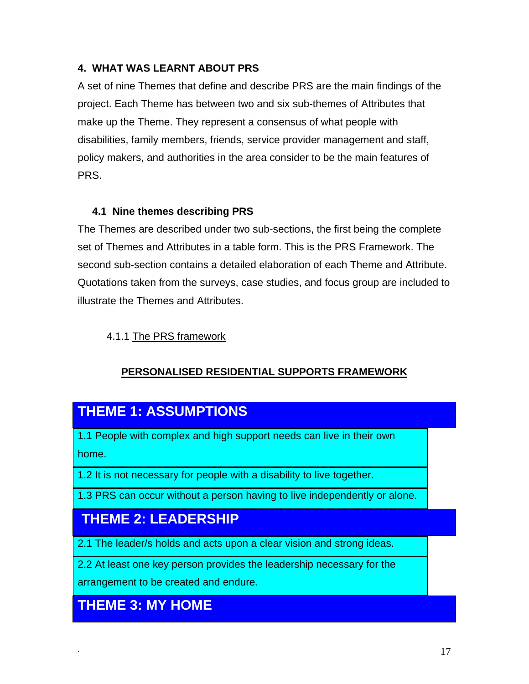### **4. WHAT WAS LEARNT ABOUT PRS**

A set of nine Themes that define and describe PRS are the main findings of the project. Each Theme has between two and six sub-themes of Attributes that make up the Theme. They represent a consensus of what people with disabilities, family members, friends, service provider management and staff, policy makers, and authorities in the area consider to be the main features of PRS.

#### **4.1 Nine themes describing PRS**

The Themes are described under two sub-sections, the first being the complete set of Themes and Attributes in a table form. This is the PRS Framework. The second sub-section contains a detailed elaboration of each Theme and Attribute. Quotations taken from the surveys, case studies, and focus group are included to illustrate the Themes and Attributes.

### 4.1.1 The PRS framework

## **PERSONALISED RESIDENTIAL SUPPORTS FRAMEWORK**

# **THEME 1: ASSUMPTIONS**

1.1 People with complex and high support needs can live in their own home.

1.2 It is not necessary for people with a disability to live together.

1.3 PRS can occur without a person having to live independently or alone.

# **THEME 2: LEADERSHIP**

2.1 The leader/s holds and acts upon a clear vision and strong ideas.

2.2 At least one key person provides the leadership necessary for the

arrangement to be created and endure.

## **THEME 3: MY HOME**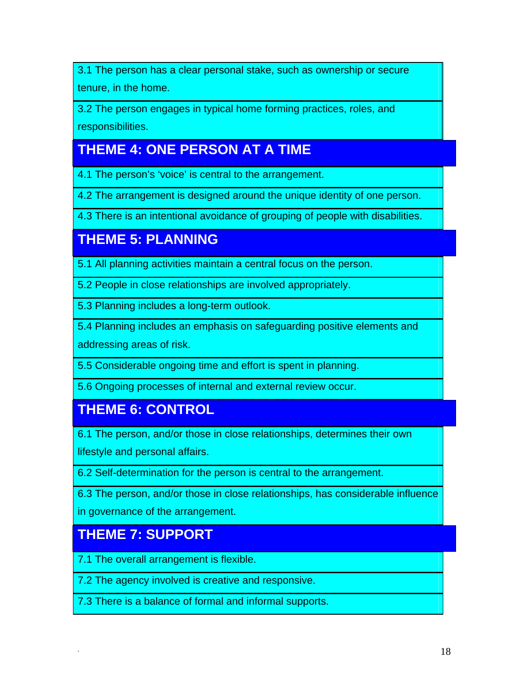3.1 The person has a clear personal stake, such as ownership or secure tenure, in the home.

3.2 The person engages in typical home forming practices, roles, and responsibilities.

# **THEME 4: ONE PERSON AT A TIME**

4.1 The person's 'voice' is central to the arrangement.

4.2 The arrangement is designed around the unique identity of one person.

4.3 There is an intentional avoidance of grouping of people with disabilities.

# **THEME 5: PLANNING**

5.1 All planning activities maintain a central focus on the person.

5.2 People in close relationships are involved appropriately.

5.3 Planning includes a long-term outlook.

5.4 Planning includes an emphasis on safeguarding positive elements and addressing areas of risk.

5.5 Considerable ongoing time and effort is spent in planning.

5.6 Ongoing processes of internal and external review occur.

# **THEME 6: CONTROL**

6.1 The person, and/or those in close relationships, determines their own lifestyle and personal affairs.

6.2 Self-determination for the person is central to the arrangement.

6.3 The person, and/or those in close relationships, has considerable influence in governance of the arrangement.

# **THEME 7: SUPPORT**

7.1 The overall arrangement is flexible.

7.2 The agency involved is creative and responsive.

7.3 There is a balance of formal and informal supports.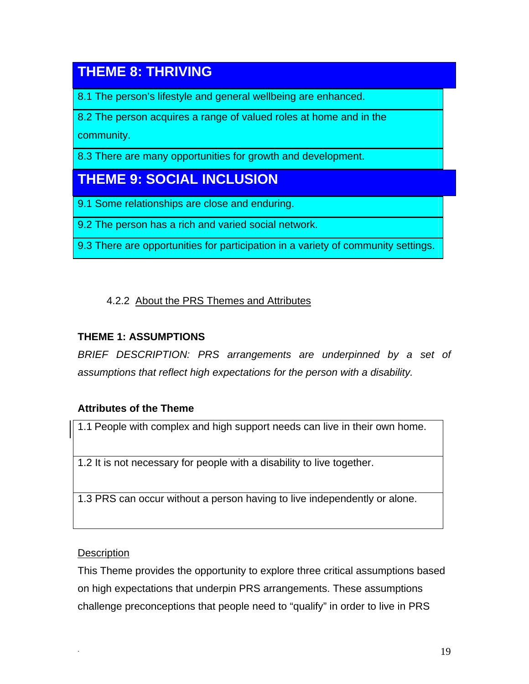# **THEME 8: THRIVING**

8.1 The person's lifestyle and general wellbeing are enhanced.

8.2 The person acquires a range of valued roles at home and in the community.

8.3 There are many opportunities for growth and development.

# **THEME 9: SOCIAL INCLUSION**

9.1 Some relationships are close and enduring.

9.2 The person has a rich and varied social network.

9.3 There are opportunities for participation in a variety of community settings.

## 4.2.2 About the PRS Themes and Attributes

## **THEME 1: ASSUMPTIONS**

*BRIEF DESCRIPTION: PRS arrangements are underpinned by a set of assumptions that reflect high expectations for the person with a disability.* 

### **Attributes of the Theme**

1.1 People with complex and high support needs can live in their own home.

1.2 It is not necessary for people with a disability to live together.

1.3 PRS can occur without a person having to live independently or alone.

### **Description**

This Theme provides the opportunity to explore three critical assumptions based on high expectations that underpin PRS arrangements. These assumptions challenge preconceptions that people need to "qualify" in order to live in PRS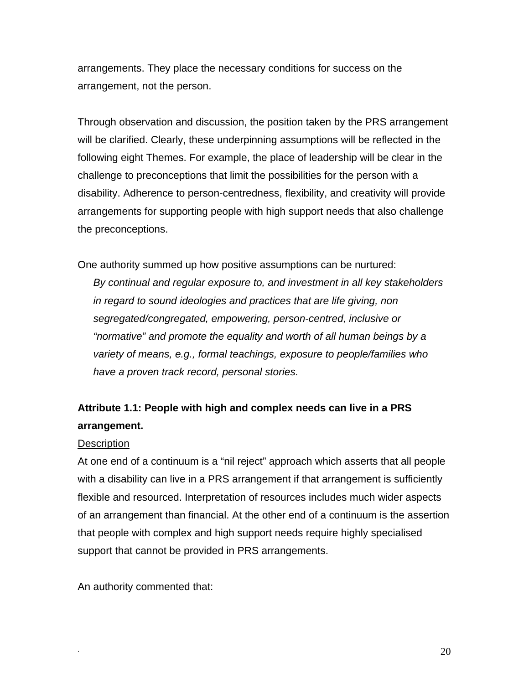arrangements. They place the necessary conditions for success on the arrangement, not the person.

Through observation and discussion, the position taken by the PRS arrangement will be clarified. Clearly, these underpinning assumptions will be reflected in the following eight Themes. For example, the place of leadership will be clear in the challenge to preconceptions that limit the possibilities for the person with a disability. Adherence to person-centredness, flexibility, and creativity will provide arrangements for supporting people with high support needs that also challenge the preconceptions.

One authority summed up how positive assumptions can be nurtured:

*By continual and regular exposure to, and investment in all key stakeholders in regard to sound ideologies and practices that are life giving, non segregated/congregated, empowering, person-centred, inclusive or "normative" and promote the equality and worth of all human beings by a variety of means, e.g., formal teachings, exposure to people/families who have a proven track record, personal stories.* 

## **Attribute 1.1: People with high and complex needs can live in a PRS arrangement.**

#### **Description**

At one end of a continuum is a "nil reject" approach which asserts that all people with a disability can live in a PRS arrangement if that arrangement is sufficiently flexible and resourced. Interpretation of resources includes much wider aspects of an arrangement than financial. At the other end of a continuum is the assertion that people with complex and high support needs require highly specialised support that cannot be provided in PRS arrangements.

An authority commented that: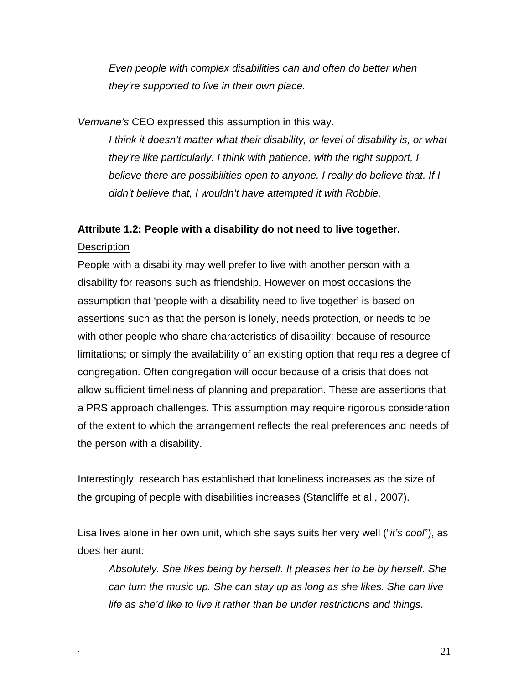*Even people with complex disabilities can and often do better when they're supported to live in their own place.* 

*Vemvane's* CEO expressed this assumption in this way.

*I think it doesn't matter what their disability, or level of disability is, or what they're like particularly. I think with patience, with the right support, I believe there are possibilities open to anyone. I really do believe that. If I didn't believe that, I wouldn't have attempted it with Robbie.* 

#### **Attribute 1.2: People with a disability do not need to live together.**

**Description** 

People with a disability may well prefer to live with another person with a disability for reasons such as friendship. However on most occasions the assumption that 'people with a disability need to live together' is based on assertions such as that the person is lonely, needs protection, or needs to be with other people who share characteristics of disability; because of resource limitations; or simply the availability of an existing option that requires a degree of congregation. Often congregation will occur because of a crisis that does not allow sufficient timeliness of planning and preparation. These are assertions that a PRS approach challenges. This assumption may require rigorous consideration of the extent to which the arrangement reflects the real preferences and needs of the person with a disability.

Interestingly, research has established that loneliness increases as the size of the grouping of people with disabilities increases (Stancliffe et al., 2007).

Lisa lives alone in her own unit, which she says suits her very well ("*it's cool*"), as does her aunt:

*Absolutely. She likes being by herself. It pleases her to be by herself. She can turn the music up. She can stay up as long as she likes. She can live life as she'd like to live it rather than be under restrictions and things.*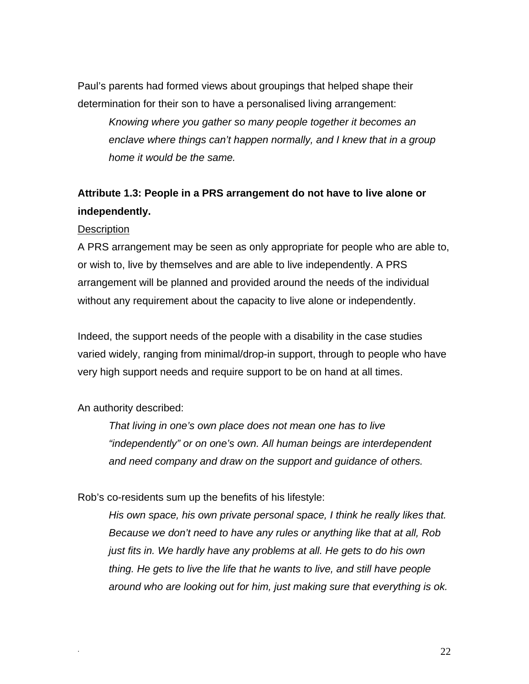Paul's parents had formed views about groupings that helped shape their determination for their son to have a personalised living arrangement:

*Knowing where you gather so many people together it becomes an enclave where things can't happen normally, and I knew that in a group home it would be the same.* 

## **Attribute 1.3: People in a PRS arrangement do not have to live alone or independently.**

#### **Description**

A PRS arrangement may be seen as only appropriate for people who are able to, or wish to, live by themselves and are able to live independently. A PRS arrangement will be planned and provided around the needs of the individual without any requirement about the capacity to live alone or independently.

Indeed, the support needs of the people with a disability in the case studies varied widely, ranging from minimal/drop-in support, through to people who have very high support needs and require support to be on hand at all times.

#### An authority described:

*That living in one's own place does not mean one has to live "independently" or on one's own. All human beings are interdependent and need company and draw on the support and guidance of others.* 

Rob's co-residents sum up the benefits of his lifestyle:

*His own space, his own private personal space, I think he really likes that. Because we don't need to have any rules or anything like that at all, Rob just fits in. We hardly have any problems at all. He gets to do his own thing. He gets to live the life that he wants to live, and still have people around who are looking out for him, just making sure that everything is ok.*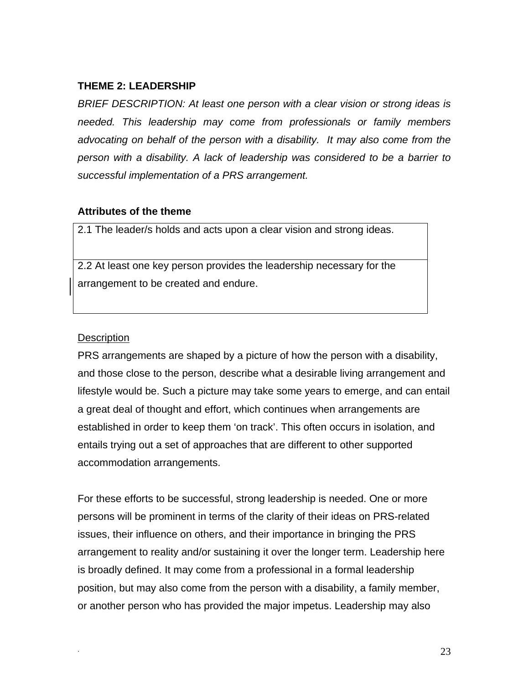#### **THEME 2: LEADERSHIP**

*BRIEF DESCRIPTION: At least one person with a clear vision or strong ideas is needed. This leadership may come from professionals or family members advocating on behalf of the person with a disability. It may also come from the person with a disability. A lack of leadership was considered to be a barrier to successful implementation of a PRS arrangement.* 

#### **Attributes of the theme**

2.1 The leader/s holds and acts upon a clear vision and strong ideas.

2.2 At least one key person provides the leadership necessary for the arrangement to be created and endure.

#### **Description**

PRS arrangements are shaped by a picture of how the person with a disability, and those close to the person, describe what a desirable living arrangement and lifestyle would be. Such a picture may take some years to emerge, and can entail a great deal of thought and effort, which continues when arrangements are established in order to keep them 'on track'. This often occurs in isolation, and entails trying out a set of approaches that are different to other supported accommodation arrangements.

For these efforts to be successful, strong leadership is needed. One or more persons will be prominent in terms of the clarity of their ideas on PRS-related issues, their influence on others, and their importance in bringing the PRS arrangement to reality and/or sustaining it over the longer term. Leadership here is broadly defined. It may come from a professional in a formal leadership position, but may also come from the person with a disability, a family member, or another person who has provided the major impetus. Leadership may also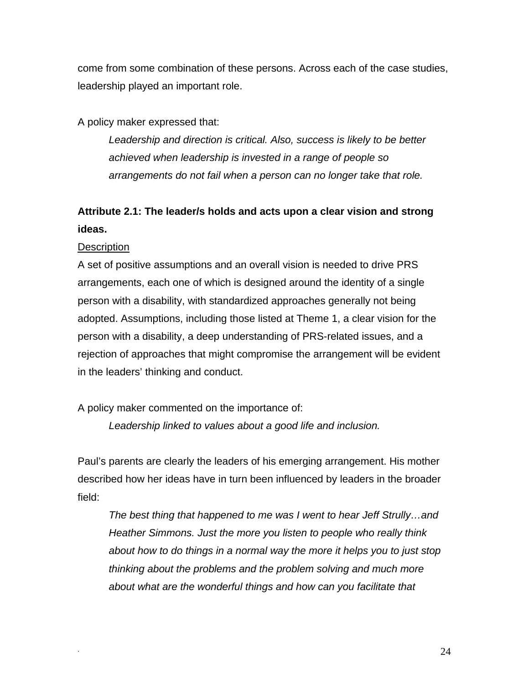come from some combination of these persons. Across each of the case studies, leadership played an important role.

A policy maker expressed that:

*Leadership and direction is critical. Also, success is likely to be better achieved when leadership is invested in a range of people so arrangements do not fail when a person can no longer take that role.* 

# **Attribute 2.1: The leader/s holds and acts upon a clear vision and strong ideas.**

#### **Description**

A set of positive assumptions and an overall vision is needed to drive PRS arrangements, each one of which is designed around the identity of a single person with a disability, with standardized approaches generally not being adopted. Assumptions, including those listed at Theme 1, a clear vision for the person with a disability, a deep understanding of PRS-related issues, and a rejection of approaches that might compromise the arrangement will be evident in the leaders' thinking and conduct.

A policy maker commented on the importance of:

*Leadership linked to values about a good life and inclusion.* 

Paul's parents are clearly the leaders of his emerging arrangement. His mother described how her ideas have in turn been influenced by leaders in the broader field:

*The best thing that happened to me was I went to hear Jeff Strully…and Heather Simmons. Just the more you listen to people who really think about how to do things in a normal way the more it helps you to just stop thinking about the problems and the problem solving and much more about what are the wonderful things and how can you facilitate that*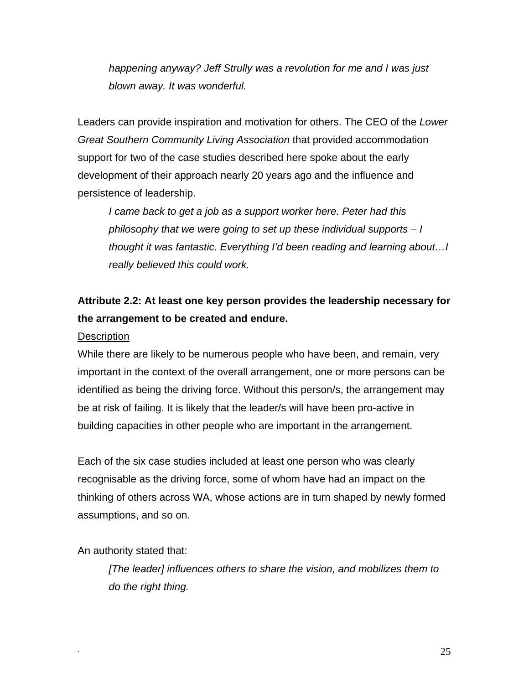*happening anyway? Jeff Strully was a revolution for me and I was just blown away. It was wonderful.* 

Leaders can provide inspiration and motivation for others. The CEO of the *Lower Great Southern Community Living Association* that provided accommodation support for two of the case studies described here spoke about the early development of their approach nearly 20 years ago and the influence and persistence of leadership.

*I came back to get a job as a support worker here. Peter had this philosophy that we were going to set up these individual supports – I thought it was fantastic. Everything I'd been reading and learning about…I really believed this could work.* 

## **Attribute 2.2: At least one key person provides the leadership necessary for the arrangement to be created and endure.**

#### **Description**

While there are likely to be numerous people who have been, and remain, very important in the context of the overall arrangement, one or more persons can be identified as being the driving force. Without this person/s, the arrangement may be at risk of failing. It is likely that the leader/s will have been pro-active in building capacities in other people who are important in the arrangement.

Each of the six case studies included at least one person who was clearly recognisable as the driving force, some of whom have had an impact on the thinking of others across WA, whose actions are in turn shaped by newly formed assumptions, and so on.

An authority stated that:

*[The leader] influences others to share the vision, and mobilizes them to do the right thing.*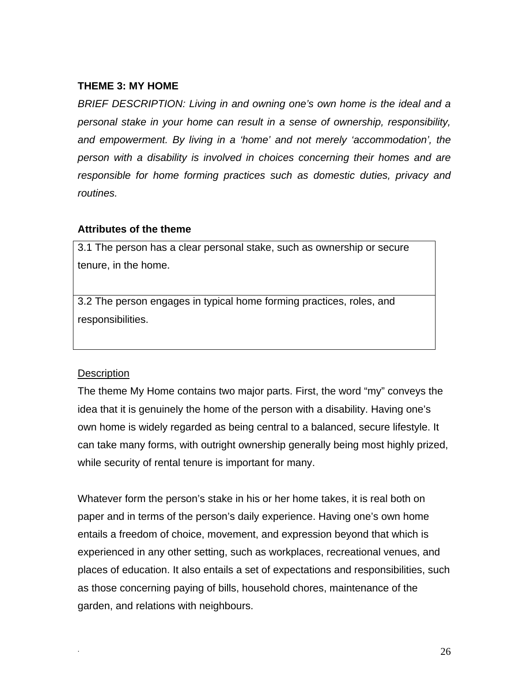#### **THEME 3: MY HOME**

*BRIEF DESCRIPTION: Living in and owning one's own home is the ideal and a personal stake in your home can result in a sense of ownership, responsibility, and empowerment. By living in a 'home' and not merely 'accommodation', the person with a disability is involved in choices concerning their homes and are responsible for home forming practices such as domestic duties, privacy and routines.* 

#### **Attributes of the theme**

3.1 The person has a clear personal stake, such as ownership or secure tenure, in the home.

3.2 The person engages in typical home forming practices, roles, and responsibilities.

#### **Description**

The theme My Home contains two major parts. First, the word "my" conveys the idea that it is genuinely the home of the person with a disability. Having one's own home is widely regarded as being central to a balanced, secure lifestyle. It can take many forms, with outright ownership generally being most highly prized, while security of rental tenure is important for many.

Whatever form the person's stake in his or her home takes, it is real both on paper and in terms of the person's daily experience. Having one's own home entails a freedom of choice, movement, and expression beyond that which is experienced in any other setting, such as workplaces, recreational venues, and places of education. It also entails a set of expectations and responsibilities, such as those concerning paying of bills, household chores, maintenance of the garden, and relations with neighbours.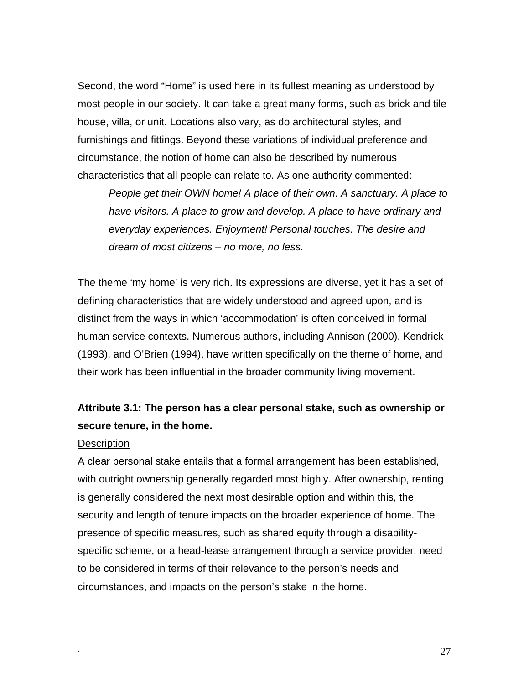Second, the word "Home" is used here in its fullest meaning as understood by most people in our society. It can take a great many forms, such as brick and tile house, villa, or unit. Locations also vary, as do architectural styles, and furnishings and fittings. Beyond these variations of individual preference and circumstance, the notion of home can also be described by numerous characteristics that all people can relate to. As one authority commented:

*People get their OWN home! A place of their own. A sanctuary. A place to have visitors. A place to grow and develop. A place to have ordinary and everyday experiences. Enjoyment! Personal touches. The desire and dream of most citizens – no more, no less.*

The theme 'my home' is very rich. Its expressions are diverse, yet it has a set of defining characteristics that are widely understood and agreed upon, and is distinct from the ways in which 'accommodation' is often conceived in formal human service contexts. Numerous authors, including Annison (2000), Kendrick (1993), and O'Brien (1994), have written specifically on the theme of home, and their work has been influential in the broader community living movement.

## **Attribute 3.1: The person has a clear personal stake, such as ownership or secure tenure, in the home.**

#### **Description**

A clear personal stake entails that a formal arrangement has been established, with outright ownership generally regarded most highly. After ownership, renting is generally considered the next most desirable option and within this, the security and length of tenure impacts on the broader experience of home. The presence of specific measures, such as shared equity through a disabilityspecific scheme, or a head-lease arrangement through a service provider, need to be considered in terms of their relevance to the person's needs and circumstances, and impacts on the person's stake in the home.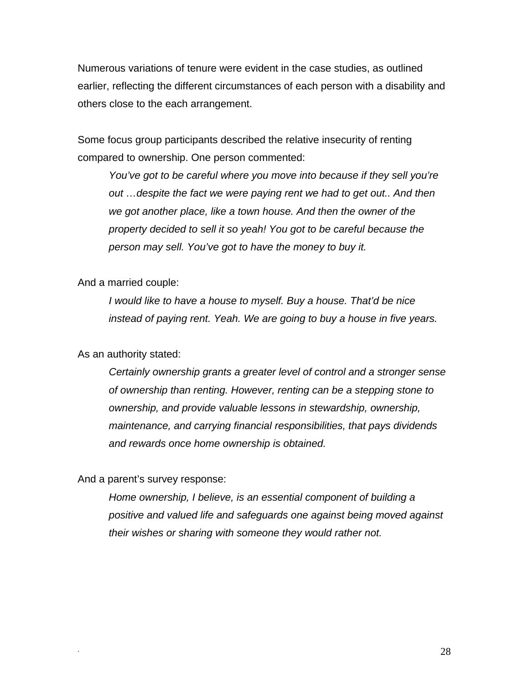Numerous variations of tenure were evident in the case studies, as outlined earlier, reflecting the different circumstances of each person with a disability and others close to the each arrangement.

Some focus group participants described the relative insecurity of renting compared to ownership. One person commented:

*You've got to be careful where you move into because if they sell you're out …despite the fact we were paying rent we had to get out.. And then we got another place, like a town house. And then the owner of the property decided to sell it so yeah! You got to be careful because the person may sell. You've got to have the money to buy it.* 

And a married couple:

*I would like to have a house to myself. Buy a house. That'd be nice instead of paying rent. Yeah. We are going to buy a house in five years.* 

#### As an authority stated:

 *Certainly ownership grants a greater level of control and a stronger sense of ownership than renting. However, renting can be a stepping stone to ownership, and provide valuable lessons in stewardship, ownership, maintenance, and carrying financial responsibilities, that pays dividends and rewards once home ownership is obtained.* 

And a parent's survey response:

 *Home ownership, I believe, is an essential component of building a positive and valued life and safeguards one against being moved against their wishes or sharing with someone they would rather not.*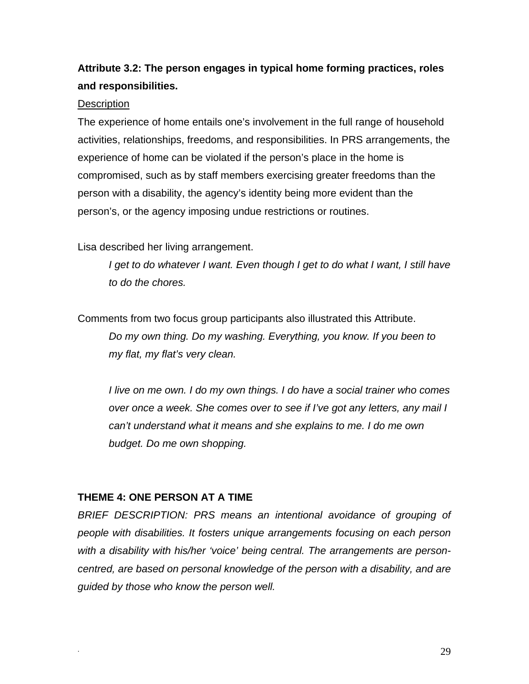## **Attribute 3.2: The person engages in typical home forming practices, roles and responsibilities.**

#### **Description**

The experience of home entails one's involvement in the full range of household activities, relationships, freedoms, and responsibilities. In PRS arrangements, the experience of home can be violated if the person's place in the home is compromised, such as by staff members exercising greater freedoms than the person with a disability, the agency's identity being more evident than the person's, or the agency imposing undue restrictions or routines.

Lisa described her living arrangement.

*I get to do whatever I want. Even though I get to do what I want, I still have to do the chores.* 

Comments from two focus group participants also illustrated this Attribute.  *Do my own thing. Do my washing. Everything, you know. If you been to my flat, my flat's very clean.* 

 *I live on me own. I do my own things. I do have a social trainer who comes over once a week. She comes over to see if I've got any letters, any mail I can't understand what it means and she explains to me. I do me own budget. Do me own shopping.* 

#### **THEME 4: ONE PERSON AT A TIME**

*BRIEF DESCRIPTION: PRS means an intentional avoidance of grouping of people with disabilities. It fosters unique arrangements focusing on each person with a disability with his/her 'voice' being central. The arrangements are personcentred, are based on personal knowledge of the person with a disability, and are guided by those who know the person well.*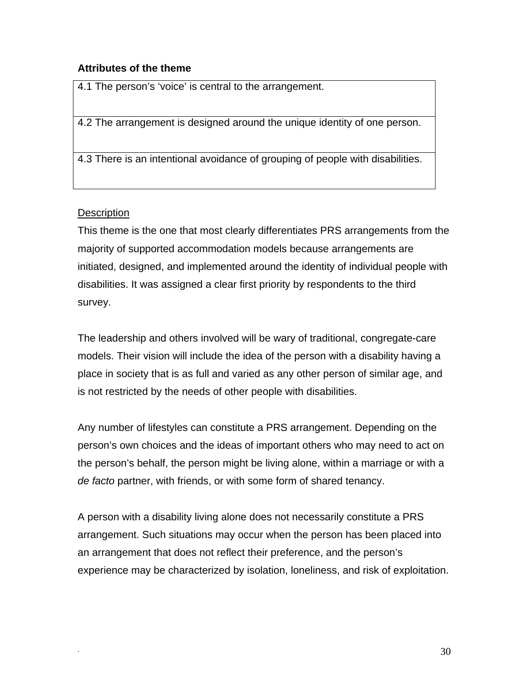#### **Attributes of the theme**

4.1 The person's 'voice' is central to the arrangement.

4.2 The arrangement is designed around the unique identity of one person.

4.3 There is an intentional avoidance of grouping of people with disabilities.

#### **Description**

This theme is the one that most clearly differentiates PRS arrangements from the majority of supported accommodation models because arrangements are initiated, designed, and implemented around the identity of individual people with disabilities. It was assigned a clear first priority by respondents to the third survey.

The leadership and others involved will be wary of traditional, congregate-care models. Their vision will include the idea of the person with a disability having a place in society that is as full and varied as any other person of similar age, and is not restricted by the needs of other people with disabilities.

Any number of lifestyles can constitute a PRS arrangement. Depending on the person's own choices and the ideas of important others who may need to act on the person's behalf, the person might be living alone, within a marriage or with a *de facto* partner, with friends, or with some form of shared tenancy.

A person with a disability living alone does not necessarily constitute a PRS arrangement. Such situations may occur when the person has been placed into an arrangement that does not reflect their preference, and the person's experience may be characterized by isolation, loneliness, and risk of exploitation.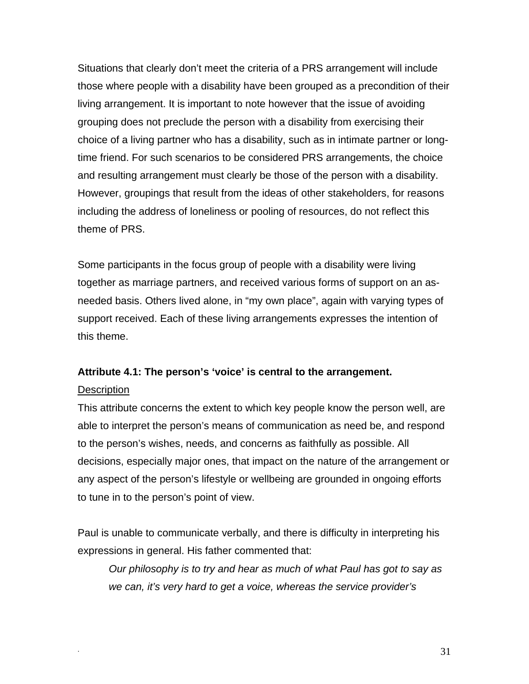Situations that clearly don't meet the criteria of a PRS arrangement will include those where people with a disability have been grouped as a precondition of their living arrangement. It is important to note however that the issue of avoiding grouping does not preclude the person with a disability from exercising their choice of a living partner who has a disability, such as in intimate partner or longtime friend. For such scenarios to be considered PRS arrangements, the choice and resulting arrangement must clearly be those of the person with a disability. However, groupings that result from the ideas of other stakeholders, for reasons including the address of loneliness or pooling of resources, do not reflect this theme of PRS.

Some participants in the focus group of people with a disability were living together as marriage partners, and received various forms of support on an asneeded basis. Others lived alone, in "my own place", again with varying types of support received. Each of these living arrangements expresses the intention of this theme.

#### **Attribute 4.1: The person's 'voice' is central to the arrangement.**

#### **Description**

This attribute concerns the extent to which key people know the person well, are able to interpret the person's means of communication as need be, and respond to the person's wishes, needs, and concerns as faithfully as possible. All decisions, especially major ones, that impact on the nature of the arrangement or any aspect of the person's lifestyle or wellbeing are grounded in ongoing efforts to tune in to the person's point of view.

Paul is unable to communicate verbally, and there is difficulty in interpreting his expressions in general. His father commented that:

*Our philosophy is to try and hear as much of what Paul has got to say as we can, it's very hard to get a voice, whereas the service provider's*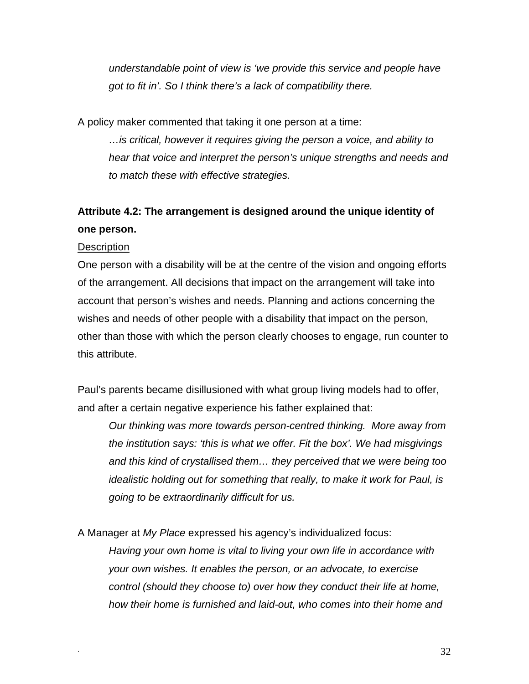*understandable point of view is 'we provide this service and people have got to fit in'. So I think there's a lack of compatibility there.* 

A policy maker commented that taking it one person at a time:

*…is critical, however it requires giving the person a voice, and ability to hear that voice and interpret the person's unique strengths and needs and to match these with effective strategies.* 

## **Attribute 4.2: The arrangement is designed around the unique identity of one person.**

#### **Description**

One person with a disability will be at the centre of the vision and ongoing efforts of the arrangement. All decisions that impact on the arrangement will take into account that person's wishes and needs. Planning and actions concerning the wishes and needs of other people with a disability that impact on the person, other than those with which the person clearly chooses to engage, run counter to this attribute.

Paul's parents became disillusioned with what group living models had to offer, and after a certain negative experience his father explained that:

*Our thinking was more towards person-centred thinking. More away from the institution says: 'this is what we offer. Fit the box'. We had misgivings and this kind of crystallised them… they perceived that we were being too idealistic holding out for something that really, to make it work for Paul, is going to be extraordinarily difficult for us.* 

A Manager at *My Place* expressed his agency's individualized focus:

*Having your own home is vital to living your own life in accordance with your own wishes. It enables the person, or an advocate, to exercise control (should they choose to) over how they conduct their life at home, how their home is furnished and laid-out, who comes into their home and*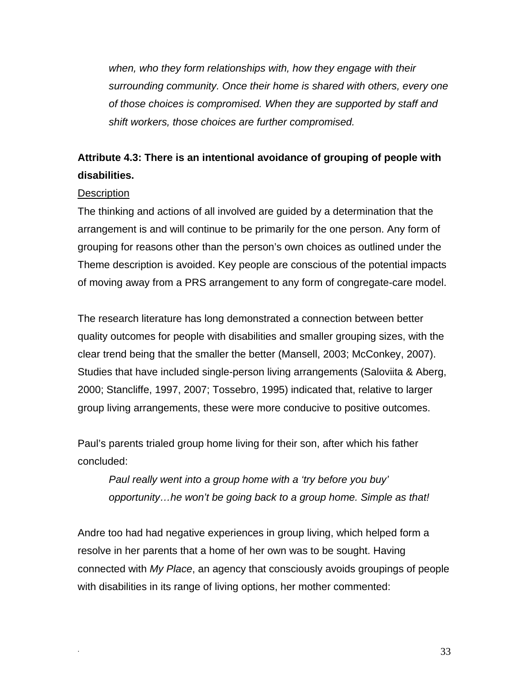*when, who they form relationships with, how they engage with their surrounding community. Once their home is shared with others, every one of those choices is compromised. When they are supported by staff and shift workers, those choices are further compromised.* 

## **Attribute 4.3: There is an intentional avoidance of grouping of people with disabilities.**

#### **Description**

The thinking and actions of all involved are guided by a determination that the arrangement is and will continue to be primarily for the one person. Any form of grouping for reasons other than the person's own choices as outlined under the Theme description is avoided. Key people are conscious of the potential impacts of moving away from a PRS arrangement to any form of congregate-care model.

The research literature has long demonstrated a connection between better quality outcomes for people with disabilities and smaller grouping sizes, with the clear trend being that the smaller the better (Mansell, 2003; McConkey, 2007). Studies that have included single-person living arrangements (Saloviita & Aberg, 2000; Stancliffe, 1997, 2007; Tossebro, 1995) indicated that, relative to larger group living arrangements, these were more conducive to positive outcomes.

Paul's parents trialed group home living for their son, after which his father concluded:

*Paul really went into a group home with a 'try before you buy' opportunity…he won't be going back to a group home. Simple as that!* 

Andre too had had negative experiences in group living, which helped form a resolve in her parents that a home of her own was to be sought. Having connected with *My Place*, an agency that consciously avoids groupings of people with disabilities in its range of living options, her mother commented: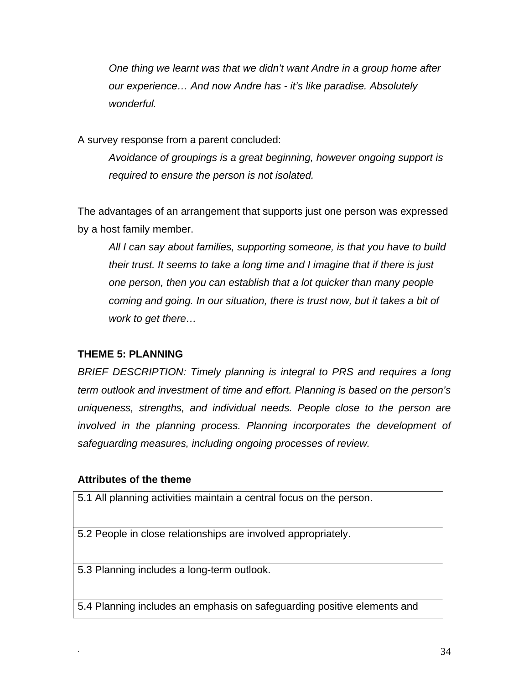*One thing we learnt was that we didn't want Andre in a group home after our experience… And now Andre has - it's like paradise. Absolutely wonderful.* 

A survey response from a parent concluded:

*Avoidance of groupings is a great beginning, however ongoing support is required to ensure the person is not isolated.* 

The advantages of an arrangement that supports just one person was expressed by a host family member.

*All I can say about families, supporting someone, is that you have to build their trust. It seems to take a long time and I imagine that if there is just one person, then you can establish that a lot quicker than many people coming and going. In our situation, there is trust now, but it takes a bit of work to get there…* 

### **THEME 5: PLANNING**

*BRIEF DESCRIPTION: Timely planning is integral to PRS and requires a long term outlook and investment of time and effort. Planning is based on the person's uniqueness, strengths, and individual needs. People close to the person are involved in the planning process. Planning incorporates the development of safeguarding measures, including ongoing processes of review.* 

#### **Attributes of the theme**

5.1 All planning activities maintain a central focus on the person.

5.2 People in close relationships are involved appropriately.

5.3 Planning includes a long-term outlook.

5.4 Planning includes an emphasis on safeguarding positive elements and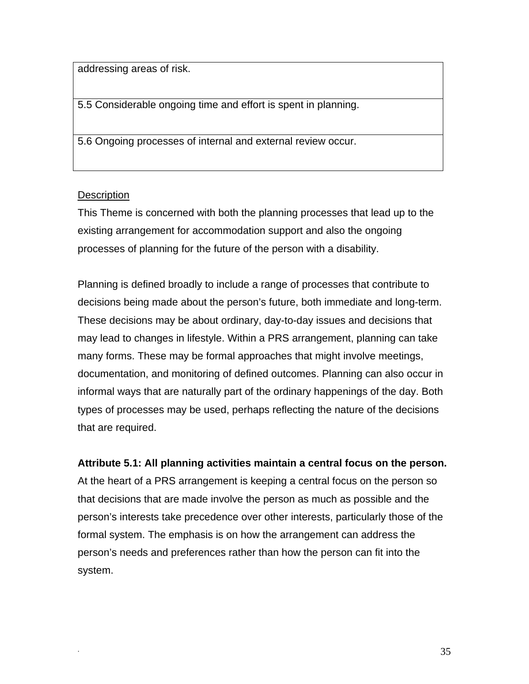addressing areas of risk.

5.5 Considerable ongoing time and effort is spent in planning.

5.6 Ongoing processes of internal and external review occur.

#### **Description**

This Theme is concerned with both the planning processes that lead up to the existing arrangement for accommodation support and also the ongoing processes of planning for the future of the person with a disability.

Planning is defined broadly to include a range of processes that contribute to decisions being made about the person's future, both immediate and long-term. These decisions may be about ordinary, day-to-day issues and decisions that may lead to changes in lifestyle. Within a PRS arrangement, planning can take many forms. These may be formal approaches that might involve meetings, documentation, and monitoring of defined outcomes. Planning can also occur in informal ways that are naturally part of the ordinary happenings of the day. Both types of processes may be used, perhaps reflecting the nature of the decisions that are required.

**Attribute 5.1: All planning activities maintain a central focus on the person.** 

At the heart of a PRS arrangement is keeping a central focus on the person so that decisions that are made involve the person as much as possible and the person's interests take precedence over other interests, particularly those of the formal system. The emphasis is on how the arrangement can address the person's needs and preferences rather than how the person can fit into the system.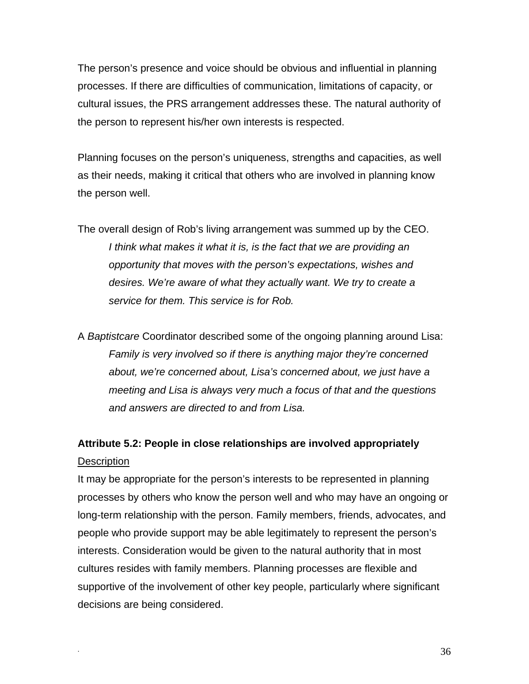The person's presence and voice should be obvious and influential in planning processes. If there are difficulties of communication, limitations of capacity, or cultural issues, the PRS arrangement addresses these. The natural authority of the person to represent his/her own interests is respected.

Planning focuses on the person's uniqueness, strengths and capacities, as well as their needs, making it critical that others who are involved in planning know the person well.

- The overall design of Rob's living arrangement was summed up by the CEO. *I think what makes it what it is, is the fact that we are providing an opportunity that moves with the person's expectations, wishes and desires. We're aware of what they actually want. We try to create a service for them. This service is for Rob.*
- A *Baptistcare* Coordinator described some of the ongoing planning around Lisa: *Family is very involved so if there is anything major they're concerned about, we're concerned about, Lisa's concerned about, we just have a meeting and Lisa is always very much a focus of that and the questions and answers are directed to and from Lisa.*

## **Attribute 5.2: People in close relationships are involved appropriately Description**

It may be appropriate for the person's interests to be represented in planning processes by others who know the person well and who may have an ongoing or long-term relationship with the person. Family members, friends, advocates, and people who provide support may be able legitimately to represent the person's interests. Consideration would be given to the natural authority that in most cultures resides with family members. Planning processes are flexible and supportive of the involvement of other key people, particularly where significant decisions are being considered.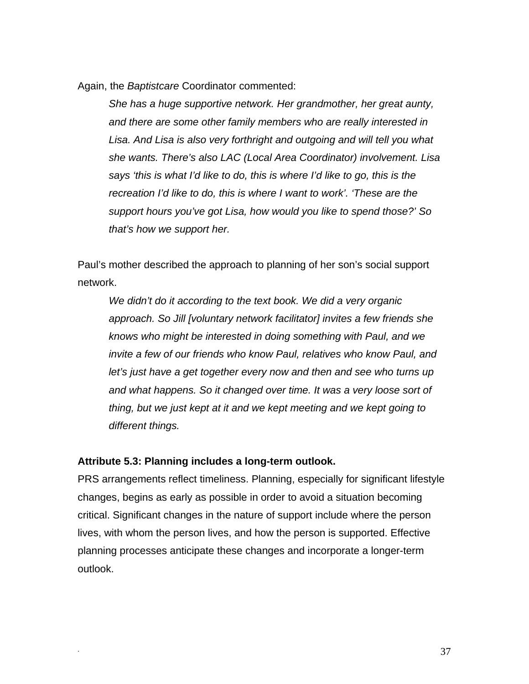Again, the *Baptistcare* Coordinator commented:

*She has a huge supportive network. Her grandmother, her great aunty, and there are some other family members who are really interested in Lisa. And Lisa is also very forthright and outgoing and will tell you what she wants. There's also LAC (Local Area Coordinator) involvement. Lisa says 'this is what I'd like to do, this is where I'd like to go, this is the recreation I'd like to do, this is where I want to work'. 'These are the support hours you've got Lisa, how would you like to spend those?' So that's how we support her.* 

Paul's mother described the approach to planning of her son's social support network.

*We didn't do it according to the text book. We did a very organic approach. So Jill [voluntary network facilitator] invites a few friends she knows who might be interested in doing something with Paul, and we invite a few of our friends who know Paul, relatives who know Paul, and let's just have a get together every now and then and see who turns up and what happens. So it changed over time. It was a very loose sort of thing, but we just kept at it and we kept meeting and we kept going to different things.* 

#### **Attribute 5.3: Planning includes a long-term outlook.**

PRS arrangements reflect timeliness. Planning, especially for significant lifestyle changes, begins as early as possible in order to avoid a situation becoming critical. Significant changes in the nature of support include where the person lives, with whom the person lives, and how the person is supported. Effective planning processes anticipate these changes and incorporate a longer-term outlook.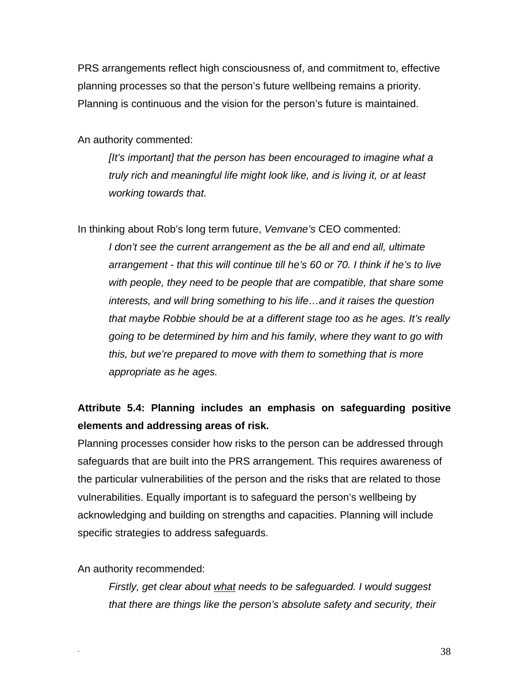PRS arrangements reflect high consciousness of, and commitment to, effective planning processes so that the person's future wellbeing remains a priority. Planning is continuous and the vision for the person's future is maintained.

An authority commented:

*[It's important] that the person has been encouraged to imagine what a truly rich and meaningful life might look like, and is living it, or at least working towards that.* 

In thinking about Rob's long term future, *Vemvane's* CEO commented:

*I don't see the current arrangement as the be all and end all, ultimate arrangement - that this will continue till he's 60 or 70. I think if he's to live with people, they need to be people that are compatible, that share some interests, and will bring something to his life…and it raises the question that maybe Robbie should be at a different stage too as he ages. It's really going to be determined by him and his family, where they want to go with this, but we're prepared to move with them to something that is more appropriate as he ages.* 

# **Attribute 5.4: Planning includes an emphasis on safeguarding positive elements and addressing areas of risk.**

Planning processes consider how risks to the person can be addressed through safeguards that are built into the PRS arrangement. This requires awareness of the particular vulnerabilities of the person and the risks that are related to those vulnerabilities. Equally important is to safeguard the person's wellbeing by acknowledging and building on strengths and capacities. Planning will include specific strategies to address safeguards.

An authority recommended:

*Firstly, get clear about what needs to be safeguarded. I would suggest that there are things like the person's absolute safety and security, their*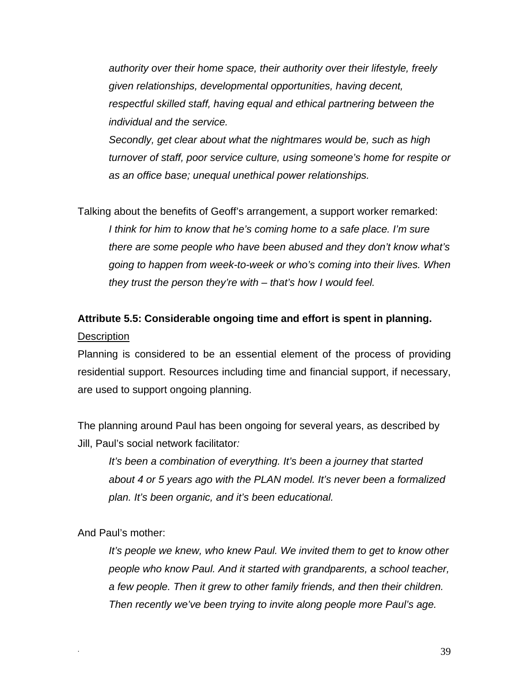*authority over their home space, their authority over their lifestyle, freely given relationships, developmental opportunities, having decent, respectful skilled staff, having equal and ethical partnering between the individual and the service.* 

*Secondly, get clear about what the nightmares would be, such as high turnover of staff, poor service culture, using someone's home for respite or as an office base; unequal unethical power relationships.* 

Talking about the benefits of Geoff's arrangement, a support worker remarked: *I think for him to know that he's coming home to a safe place. I'm sure there are some people who have been abused and they don't know what's going to happen from week-to-week or who's coming into their lives. When they trust the person they're with – that's how I would feel.* 

# **Attribute 5.5: Considerable ongoing time and effort is spent in planning. Description**

Planning is considered to be an essential element of the process of providing residential support. Resources including time and financial support, if necessary, are used to support ongoing planning.

The planning around Paul has been ongoing for several years, as described by Jill, Paul's social network facilitator*:* 

*It's been a combination of everything. It's been a journey that started about 4 or 5 years ago with the PLAN model. It's never been a formalized plan. It's been organic, and it's been educational.* 

And Paul's mother:

It's people we knew, who knew Paul. We invited them to get to know other *people who know Paul. And it started with grandparents, a school teacher, a few people. Then it grew to other family friends, and then their children. Then recently we've been trying to invite along people more Paul's age.*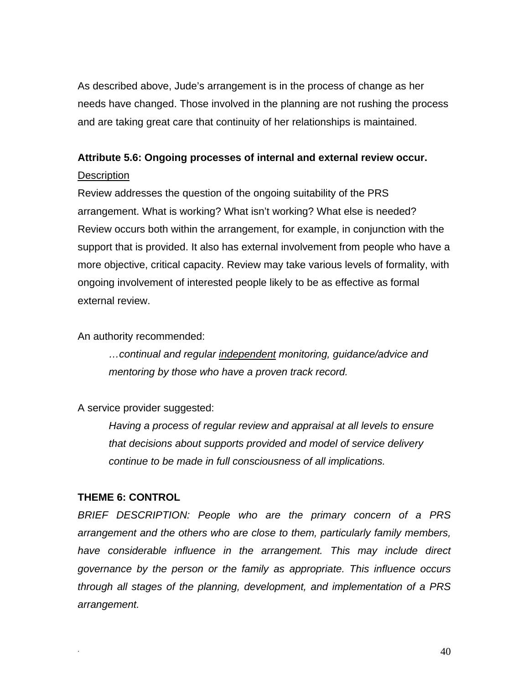As described above, Jude's arrangement is in the process of change as her needs have changed. Those involved in the planning are not rushing the process and are taking great care that continuity of her relationships is maintained.

# **Attribute 5.6: Ongoing processes of internal and external review occur.**

## **Description**

Review addresses the question of the ongoing suitability of the PRS arrangement. What is working? What isn't working? What else is needed? Review occurs both within the arrangement, for example, in conjunction with the support that is provided. It also has external involvement from people who have a more objective, critical capacity. Review may take various levels of formality, with ongoing involvement of interested people likely to be as effective as formal external review.

An authority recommended:

*…continual and regular independent monitoring, guidance/advice and mentoring by those who have a proven track record.* 

A service provider suggested:

*Having a process of regular review and appraisal at all levels to ensure that decisions about supports provided and model of service delivery continue to be made in full consciousness of all implications.*

## **THEME 6: CONTROL**

*BRIEF DESCRIPTION: People who are the primary concern of a PRS arrangement and the others who are close to them, particularly family members, have considerable influence in the arrangement. This may include direct governance by the person or the family as appropriate. This influence occurs through all stages of the planning, development, and implementation of a PRS arrangement.*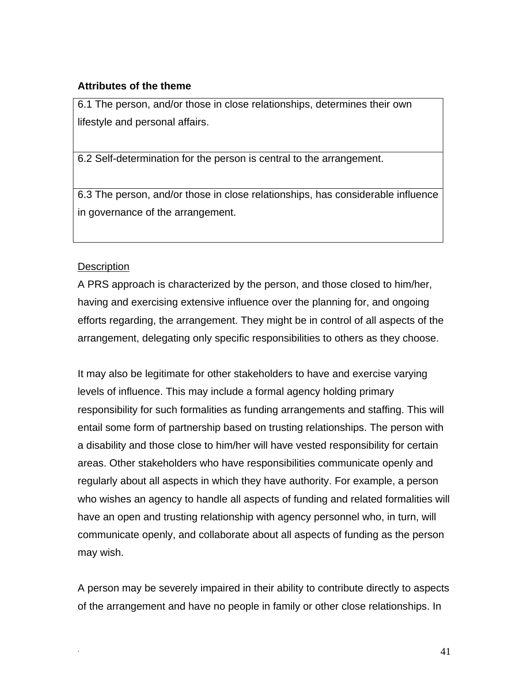## **Attributes of the theme**

6.1 The person, and/or those in close relationships, determines their own lifestyle and personal affairs.

6.2 Self-determination for the person is central to the arrangement.

6.3 The person, and/or those in close relationships, has considerable influence in governance of the arrangement.

## **Description**

A PRS approach is characterized by the person, and those closed to him/her, having and exercising extensive influence over the planning for, and ongoing efforts regarding, the arrangement. They might be in control of all aspects of the arrangement, delegating only specific responsibilities to others as they choose.

It may also be legitimate for other stakeholders to have and exercise varying levels of influence. This may include a formal agency holding primary responsibility for such formalities as funding arrangements and staffing. This will entail some form of partnership based on trusting relationships. The person with a disability and those close to him/her will have vested responsibility for certain areas. Other stakeholders who have responsibilities communicate openly and regularly about all aspects in which they have authority. For example, a person who wishes an agency to handle all aspects of funding and related formalities will have an open and trusting relationship with agency personnel who, in turn, will communicate openly, and collaborate about all aspects of funding as the person may wish.

A person may be severely impaired in their ability to contribute directly to aspects of the arrangement and have no people in family or other close relationships. In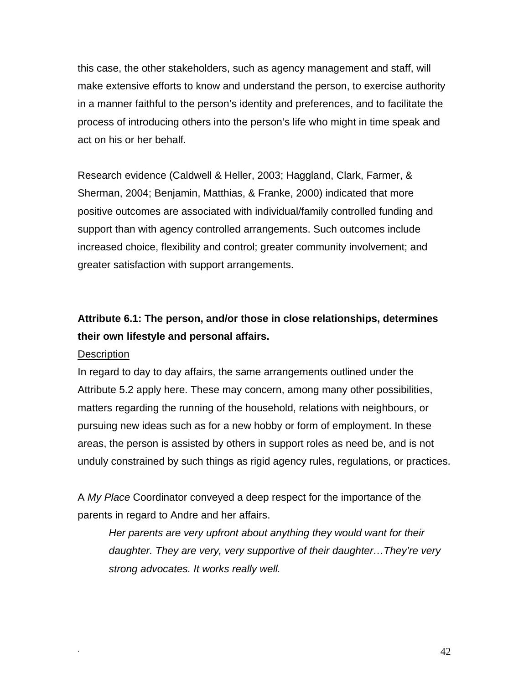this case, the other stakeholders, such as agency management and staff, will make extensive efforts to know and understand the person, to exercise authority in a manner faithful to the person's identity and preferences, and to facilitate the process of introducing others into the person's life who might in time speak and act on his or her behalf.

Research evidence (Caldwell & Heller, 2003; Haggland, Clark, Farmer, & Sherman, 2004; Benjamin, Matthias, & Franke, 2000) indicated that more positive outcomes are associated with individual/family controlled funding and support than with agency controlled arrangements. Such outcomes include increased choice, flexibility and control; greater community involvement; and greater satisfaction with support arrangements.

# **Attribute 6.1: The person, and/or those in close relationships, determines their own lifestyle and personal affairs.**

#### **Description**

In regard to day to day affairs, the same arrangements outlined under the Attribute 5.2 apply here. These may concern, among many other possibilities, matters regarding the running of the household, relations with neighbours, or pursuing new ideas such as for a new hobby or form of employment. In these areas, the person is assisted by others in support roles as need be, and is not unduly constrained by such things as rigid agency rules, regulations, or practices.

A *My Place* Coordinator conveyed a deep respect for the importance of the parents in regard to Andre and her affairs.

*Her parents are very upfront about anything they would want for their daughter. They are very, very supportive of their daughter…They're very strong advocates. It works really well.*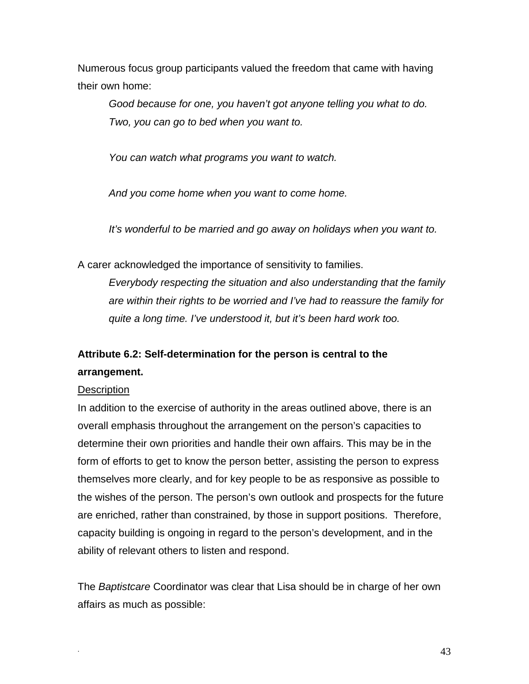Numerous focus group participants valued the freedom that came with having their own home:

 *Good because for one, you haven't got anyone telling you what to do. Two, you can go to bed when you want to.* 

 *You can watch what programs you want to watch.* 

 *And you come home when you want to come home.* 

 *It's wonderful to be married and go away on holidays when you want to.* 

A carer acknowledged the importance of sensitivity to families.

*Everybody respecting the situation and also understanding that the family are within their rights to be worried and I've had to reassure the family for quite a long time. I've understood it, but it's been hard work too.* 

# **Attribute 6.2: Self-determination for the person is central to the arrangement.**

# **Description**

In addition to the exercise of authority in the areas outlined above, there is an overall emphasis throughout the arrangement on the person's capacities to determine their own priorities and handle their own affairs. This may be in the form of efforts to get to know the person better, assisting the person to express themselves more clearly, and for key people to be as responsive as possible to the wishes of the person. The person's own outlook and prospects for the future are enriched, rather than constrained, by those in support positions. Therefore, capacity building is ongoing in regard to the person's development, and in the ability of relevant others to listen and respond.

The *Baptistcare* Coordinator was clear that Lisa should be in charge of her own affairs as much as possible: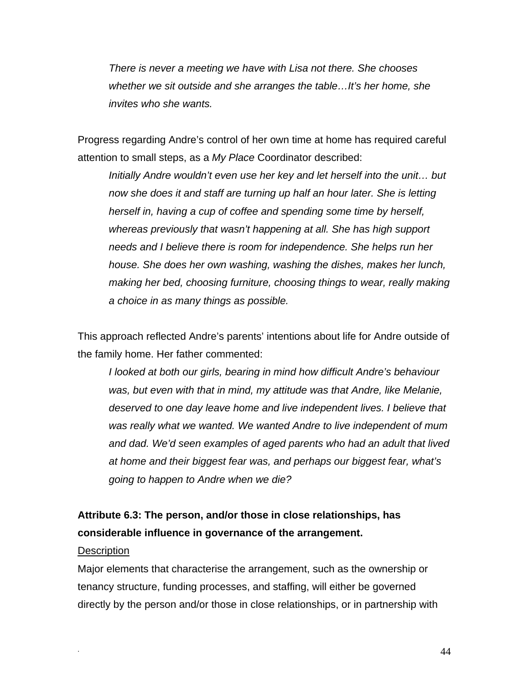*There is never a meeting we have with Lisa not there. She chooses whether we sit outside and she arranges the table…It's her home, she invites who she wants.* 

Progress regarding Andre's control of her own time at home has required careful attention to small steps, as a *My Place* Coordinator described:

*Initially Andre wouldn't even use her key and let herself into the unit… but now she does it and staff are turning up half an hour later. She is letting herself in, having a cup of coffee and spending some time by herself, whereas previously that wasn't happening at all. She has high support needs and I believe there is room for independence. She helps run her house. She does her own washing, washing the dishes, makes her lunch, making her bed, choosing furniture, choosing things to wear, really making a choice in as many things as possible.* 

This approach reflected Andre's parents' intentions about life for Andre outside of the family home. Her father commented:

*I looked at both our girls, bearing in mind how difficult Andre's behaviour*  was, but even with that in mind, my attitude was that Andre, like Melanie, *deserved to one day leave home and live independent lives. I believe that was really what we wanted. We wanted Andre to live independent of mum and dad. We'd seen examples of aged parents who had an adult that lived at home and their biggest fear was, and perhaps our biggest fear, what's going to happen to Andre when we die?* 

## **Attribute 6.3: The person, and/or those in close relationships, has considerable influence in governance of the arrangement.**

#### **Description**

Major elements that characterise the arrangement, such as the ownership or tenancy structure, funding processes, and staffing, will either be governed directly by the person and/or those in close relationships, or in partnership with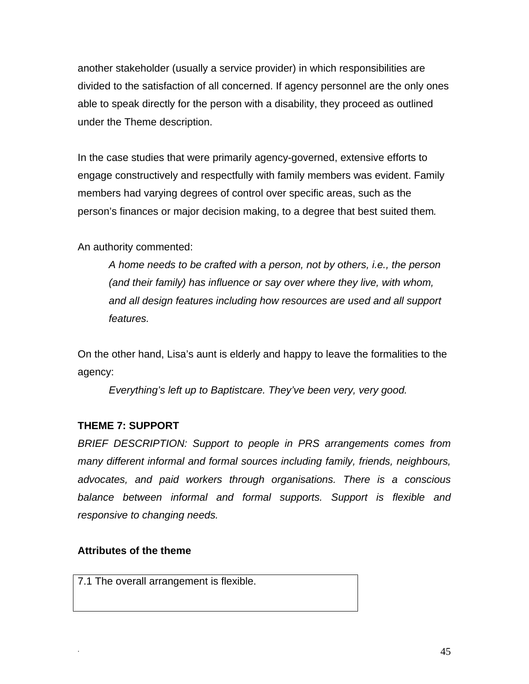another stakeholder (usually a service provider) in which responsibilities are divided to the satisfaction of all concerned. If agency personnel are the only ones able to speak directly for the person with a disability, they proceed as outlined under the Theme description.

In the case studies that were primarily agency-governed, extensive efforts to engage constructively and respectfully with family members was evident. Family members had varying degrees of control over specific areas, such as the person's finances or major decision making, to a degree that best suited them*.* 

An authority commented:

*A home needs to be crafted with a person, not by others, i.e., the person (and their family) has influence or say over where they live, with whom, and all design features including how resources are used and all support features.* 

On the other hand, Lisa's aunt is elderly and happy to leave the formalities to the agency:

*Everything's left up to Baptistcare. They've been very, very good.* 

## **THEME 7: SUPPORT**

*BRIEF DESCRIPTION: Support to people in PRS arrangements comes from many different informal and formal sources including family, friends, neighbours, advocates, and paid workers through organisations. There is a conscious balance between informal and formal supports. Support is flexible and responsive to changing needs.*

## **Attributes of the theme**

7.1 The overall arrangement is flexible.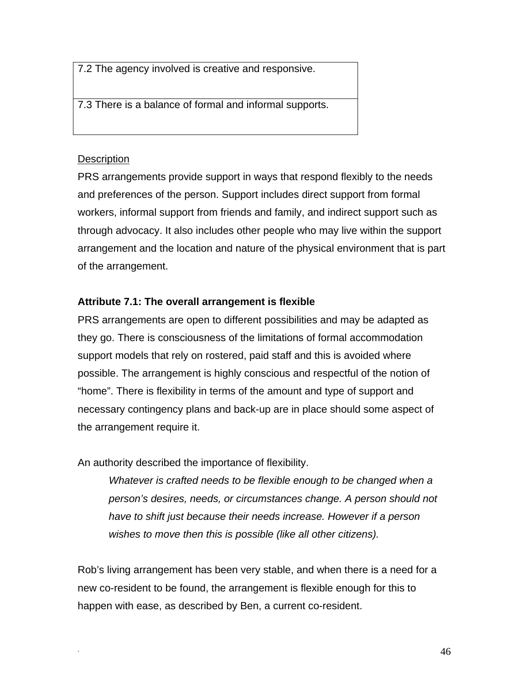7.2 The agency involved is creative and responsive.

7.3 There is a balance of formal and informal supports.

## **Description**

PRS arrangements provide support in ways that respond flexibly to the needs and preferences of the person. Support includes direct support from formal workers, informal support from friends and family, and indirect support such as through advocacy. It also includes other people who may live within the support arrangement and the location and nature of the physical environment that is part of the arrangement.

## **Attribute 7.1: The overall arrangement is flexible**

PRS arrangements are open to different possibilities and may be adapted as they go. There is consciousness of the limitations of formal accommodation support models that rely on rostered, paid staff and this is avoided where possible. The arrangement is highly conscious and respectful of the notion of "home". There is flexibility in terms of the amount and type of support and necessary contingency plans and back-up are in place should some aspect of the arrangement require it.

An authority described the importance of flexibility.

*Whatever is crafted needs to be flexible enough to be changed when a person's desires, needs, or circumstances change. A person should not have to shift just because their needs increase. However if a person wishes to move then this is possible (like all other citizens).* 

Rob's living arrangement has been very stable, and when there is a need for a new co-resident to be found, the arrangement is flexible enough for this to happen with ease, as described by Ben, a current co-resident.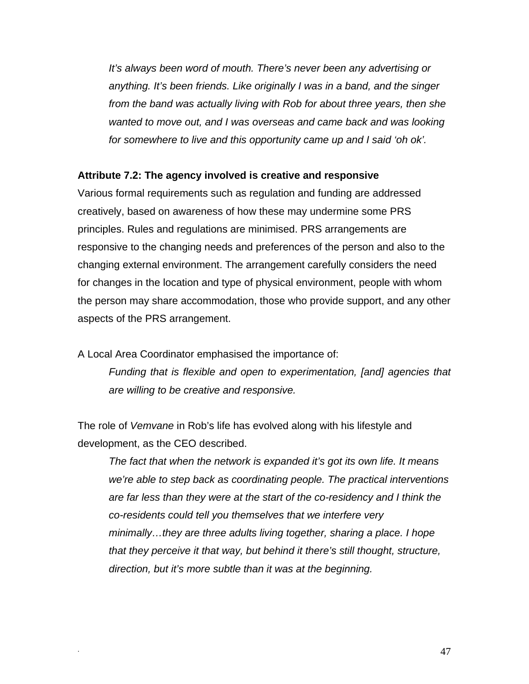*It's always been word of mouth. There's never been any advertising or anything. It's been friends. Like originally I was in a band, and the singer from the band was actually living with Rob for about three years, then she wanted to move out, and I was overseas and came back and was looking for somewhere to live and this opportunity came up and I said 'oh ok'.* 

#### **Attribute 7.2: The agency involved is creative and responsive**

Various formal requirements such as regulation and funding are addressed creatively, based on awareness of how these may undermine some PRS principles. Rules and regulations are minimised. PRS arrangements are responsive to the changing needs and preferences of the person and also to the changing external environment. The arrangement carefully considers the need for changes in the location and type of physical environment, people with whom the person may share accommodation, those who provide support, and any other aspects of the PRS arrangement.

A Local Area Coordinator emphasised the importance of:

*Funding that is flexible and open to experimentation, [and] agencies that are willing to be creative and responsive.* 

The role of *Vemvane* in Rob's life has evolved along with his lifestyle and development, as the CEO described.

*The fact that when the network is expanded it's got its own life. It means we're able to step back as coordinating people. The practical interventions are far less than they were at the start of the co-residency and I think the co-residents could tell you themselves that we interfere very minimally…they are three adults living together, sharing a place. I hope that they perceive it that way, but behind it there's still thought, structure, direction, but it's more subtle than it was at the beginning.*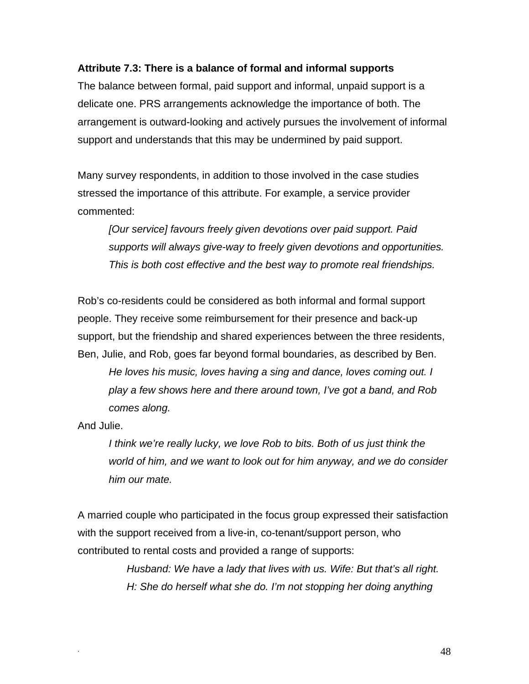#### **Attribute 7.3: There is a balance of formal and informal supports**

The balance between formal, paid support and informal, unpaid support is a delicate one. PRS arrangements acknowledge the importance of both. The arrangement is outward-looking and actively pursues the involvement of informal support and understands that this may be undermined by paid support.

Many survey respondents, in addition to those involved in the case studies stressed the importance of this attribute. For example, a service provider commented:

*[Our service] favours freely given devotions over paid support. Paid supports will always give-way to freely given devotions and opportunities. This is both cost effective and the best way to promote real friendships.* 

Rob's co-residents could be considered as both informal and formal support people. They receive some reimbursement for their presence and back-up support, but the friendship and shared experiences between the three residents, Ben, Julie, and Rob, goes far beyond formal boundaries, as described by Ben.

*He loves his music, loves having a sing and dance, loves coming out. I play a few shows here and there around town, I've got a band, and Rob comes along.* 

And Julie.

*I think we're really lucky, we love Rob to bits. Both of us just think the world of him, and we want to look out for him anyway, and we do consider him our mate.* 

A married couple who participated in the focus group expressed their satisfaction with the support received from a live-in, co-tenant/support person, who contributed to rental costs and provided a range of supports:

> *Husband: We have a lady that lives with us. Wife: But that's all right. H: She do herself what she do. I'm not stopping her doing anything*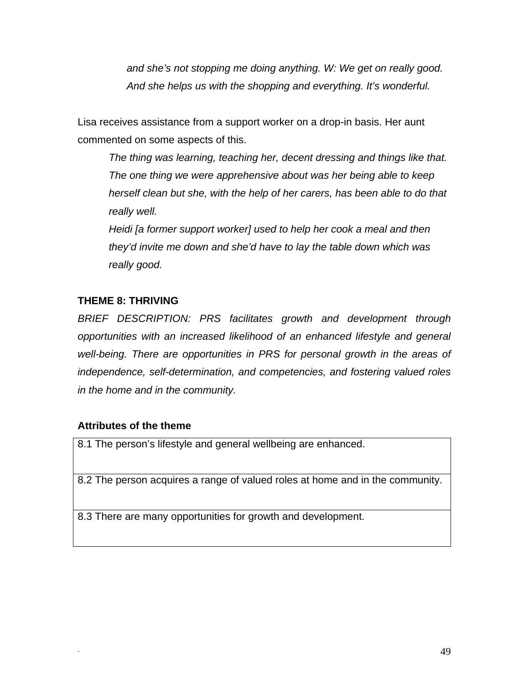*and she's not stopping me doing anything. W: We get on really good. And she helps us with the shopping and everything. It's wonderful.* 

Lisa receives assistance from a support worker on a drop-in basis. Her aunt commented on some aspects of this.

*The thing was learning, teaching her, decent dressing and things like that. The one thing we were apprehensive about was her being able to keep herself clean but she, with the help of her carers, has been able to do that really well.* 

*Heidi [a former support worker] used to help her cook a meal and then they'd invite me down and she'd have to lay the table down which was really good.* 

## **THEME 8: THRIVING**

*BRIEF DESCRIPTION: PRS facilitates growth and development through opportunities with an increased likelihood of an enhanced lifestyle and general well-being. There are opportunities in PRS for personal growth in the areas of independence, self-determination, and competencies, and fostering valued roles in the home and in the community.*

## **Attributes of the theme**

8.1 The person's lifestyle and general wellbeing are enhanced.

8.2 The person acquires a range of valued roles at home and in the community.

8.3 There are many opportunities for growth and development.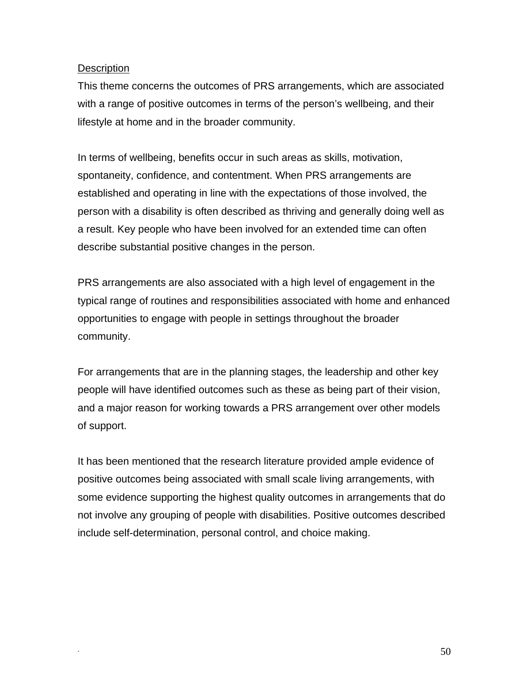## **Description**

This theme concerns the outcomes of PRS arrangements, which are associated with a range of positive outcomes in terms of the person's wellbeing, and their lifestyle at home and in the broader community.

In terms of wellbeing, benefits occur in such areas as skills, motivation, spontaneity, confidence, and contentment. When PRS arrangements are established and operating in line with the expectations of those involved, the person with a disability is often described as thriving and generally doing well as a result. Key people who have been involved for an extended time can often describe substantial positive changes in the person.

PRS arrangements are also associated with a high level of engagement in the typical range of routines and responsibilities associated with home and enhanced opportunities to engage with people in settings throughout the broader community.

For arrangements that are in the planning stages, the leadership and other key people will have identified outcomes such as these as being part of their vision, and a major reason for working towards a PRS arrangement over other models of support.

It has been mentioned that the research literature provided ample evidence of positive outcomes being associated with small scale living arrangements, with some evidence supporting the highest quality outcomes in arrangements that do not involve any grouping of people with disabilities. Positive outcomes described include self-determination, personal control, and choice making.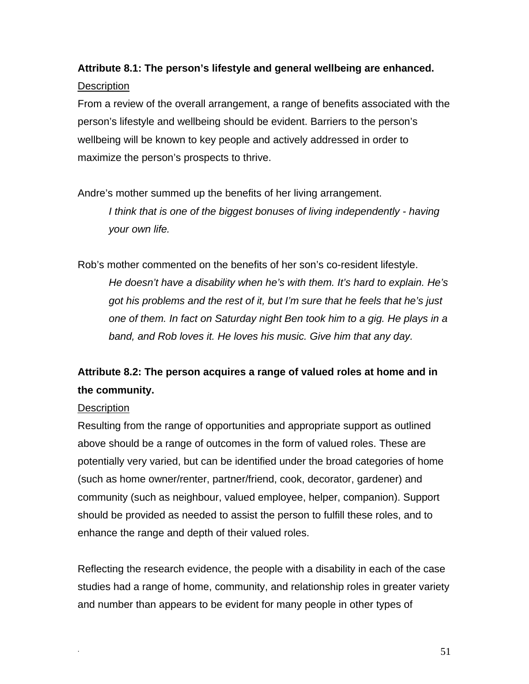# **Attribute 8.1: The person's lifestyle and general wellbeing are enhanced. Description**

From a review of the overall arrangement, a range of benefits associated with the person's lifestyle and wellbeing should be evident. Barriers to the person's wellbeing will be known to key people and actively addressed in order to maximize the person's prospects to thrive.

Andre's mother summed up the benefits of her living arrangement.

*I think that is one of the biggest bonuses of living independently - having your own life.* 

Rob's mother commented on the benefits of her son's co-resident lifestyle. *He doesn't have a disability when he's with them. It's hard to explain. He's got his problems and the rest of it, but I'm sure that he feels that he's just one of them. In fact on Saturday night Ben took him to a gig. He plays in a band, and Rob loves it. He loves his music. Give him that any day.* 

# **Attribute 8.2: The person acquires a range of valued roles at home and in the community.**

## **Description**

Resulting from the range of opportunities and appropriate support as outlined above should be a range of outcomes in the form of valued roles. These are potentially very varied, but can be identified under the broad categories of home (such as home owner/renter, partner/friend, cook, decorator, gardener) and community (such as neighbour, valued employee, helper, companion). Support should be provided as needed to assist the person to fulfill these roles, and to enhance the range and depth of their valued roles.

Reflecting the research evidence, the people with a disability in each of the case studies had a range of home, community, and relationship roles in greater variety and number than appears to be evident for many people in other types of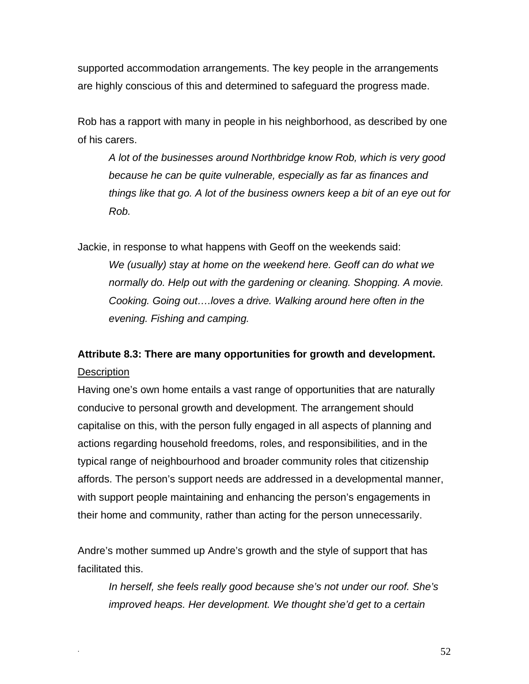supported accommodation arrangements. The key people in the arrangements are highly conscious of this and determined to safeguard the progress made.

Rob has a rapport with many in people in his neighborhood, as described by one of his carers.

*A lot of the businesses around Northbridge know Rob, which is very good because he can be quite vulnerable, especially as far as finances and things like that go. A lot of the business owners keep a bit of an eye out for Rob.* 

Jackie, in response to what happens with Geoff on the weekends said: *We (usually) stay at home on the weekend here. Geoff can do what we normally do. Help out with the gardening or cleaning. Shopping. A movie. Cooking. Going out….loves a drive. Walking around here often in the evening. Fishing and camping.* 

# **Attribute 8.3: There are many opportunities for growth and development. Description**

Having one's own home entails a vast range of opportunities that are naturally conducive to personal growth and development. The arrangement should capitalise on this, with the person fully engaged in all aspects of planning and actions regarding household freedoms, roles, and responsibilities, and in the typical range of neighbourhood and broader community roles that citizenship affords. The person's support needs are addressed in a developmental manner, with support people maintaining and enhancing the person's engagements in their home and community, rather than acting for the person unnecessarily.

Andre's mother summed up Andre's growth and the style of support that has facilitated this.

*In herself, she feels really good because she's not under our roof. She's improved heaps. Her development. We thought she'd get to a certain*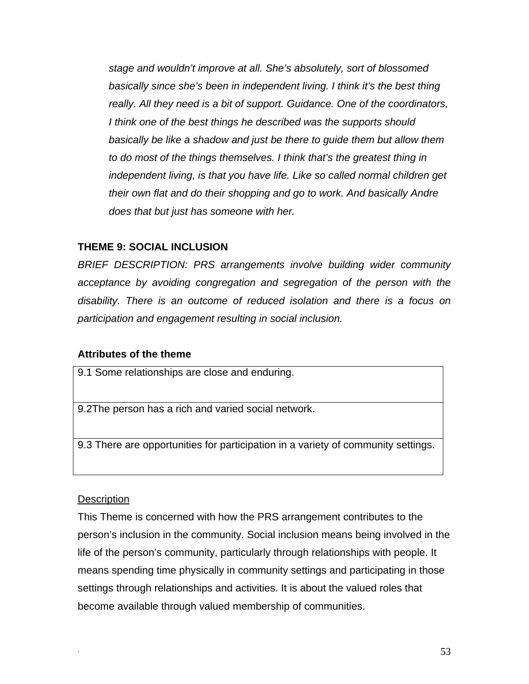*stage and wouldn't improve at all. She's absolutely, sort of blossomed basically since she's been in independent living. I think it's the best thing really. All they need is a bit of support. Guidance. One of the coordinators, I think one of the best things he described was the supports should basically be like a shadow and just be there to guide them but allow them to do most of the things themselves. I think that's the greatest thing in independent living, is that you have life. Like so called normal children get their own flat and do their shopping and go to work. And basically Andre does that but just has someone with her.* 

## **THEME 9: SOCIAL INCLUSION**

*BRIEF DESCRIPTION: PRS arrangements involve building wider community acceptance by avoiding congregation and segregation of the person with the disability. There is an outcome of reduced isolation and there is a focus on participation and engagement resulting in social inclusion.*

## **Attributes of the theme**

9.1 Some relationships are close and enduring.

9.2The person has a rich and varied social network.

9.3 There are opportunities for participation in a variety of community settings.

## **Description**

This Theme is concerned with how the PRS arrangement contributes to the person's inclusion in the community. Social inclusion means being involved in the life of the person's community, particularly through relationships with people. It means spending time physically in community settings and participating in those settings through relationships and activities. It is about the valued roles that become available through valued membership of communities.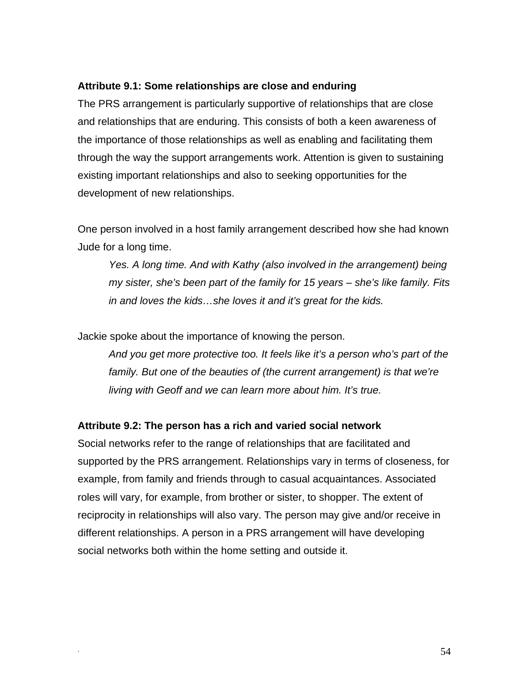#### **Attribute 9.1: Some relationships are close and enduring**

The PRS arrangement is particularly supportive of relationships that are close and relationships that are enduring. This consists of both a keen awareness of the importance of those relationships as well as enabling and facilitating them through the way the support arrangements work. Attention is given to sustaining existing important relationships and also to seeking opportunities for the development of new relationships.

One person involved in a host family arrangement described how she had known Jude for a long time.

*Yes. A long time. And with Kathy (also involved in the arrangement) being my sister, she's been part of the family for 15 years – she's like family. Fits in and loves the kids…she loves it and it's great for the kids.* 

Jackie spoke about the importance of knowing the person.

*And you get more protective too. It feels like it's a person who's part of the family. But one of the beauties of (the current arrangement) is that we're living with Geoff and we can learn more about him. It's true.* 

#### **Attribute 9.2: The person has a rich and varied social network**

Social networks refer to the range of relationships that are facilitated and supported by the PRS arrangement. Relationships vary in terms of closeness, for example, from family and friends through to casual acquaintances. Associated roles will vary, for example, from brother or sister, to shopper. The extent of reciprocity in relationships will also vary. The person may give and/or receive in different relationships. A person in a PRS arrangement will have developing social networks both within the home setting and outside it.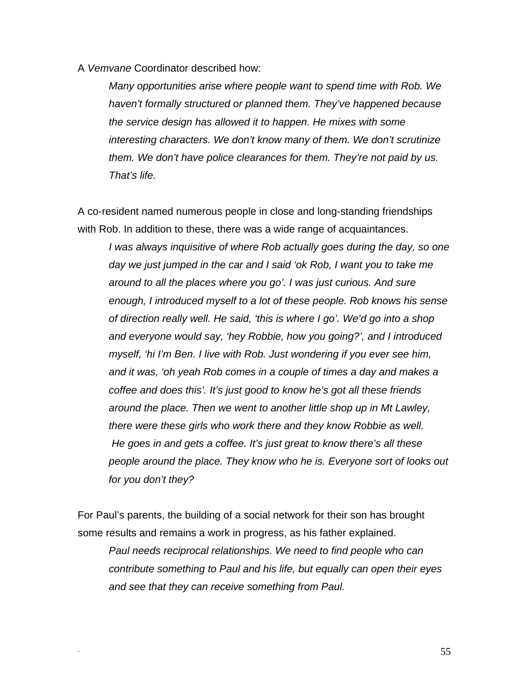A *Vemvane* Coordinator described how:

*Many opportunities arise where people want to spend time with Rob. We haven't formally structured or planned them. They've happened because the service design has allowed it to happen. He mixes with some interesting characters. We don't know many of them. We don't scrutinize them. We don't have police clearances for them. They're not paid by us. That's life.* 

A co-resident named numerous people in close and long-standing friendships with Rob. In addition to these, there was a wide range of acquaintances.

*I was always inquisitive of where Rob actually goes during the day, so one day we just jumped in the car and I said 'ok Rob, I want you to take me around to all the places where you go'. I was just curious. And sure enough, I introduced myself to a lot of these people. Rob knows his sense of direction really well. He said, 'this is where I go'. We'd go into a shop and everyone would say, 'hey Robbie, how you going?', and I introduced myself, 'hi I'm Ben. I live with Rob. Just wondering if you ever see him, and it was, 'oh yeah Rob comes in a couple of times a day and makes a coffee and does this'. It's just good to know he's got all these friends around the place. Then we went to another little shop up in Mt Lawley, there were these girls who work there and they know Robbie as well. He goes in and gets a coffee. It's just great to know there's all these people around the place. They know who he is. Everyone sort of looks out for you don't they?* 

For Paul's parents, the building of a social network for their son has brought some results and remains a work in progress, as his father explained.

*Paul needs reciprocal relationships. We need to find people who can contribute something to Paul and his life, but equally can open their eyes and see that they can receive something from Paul.*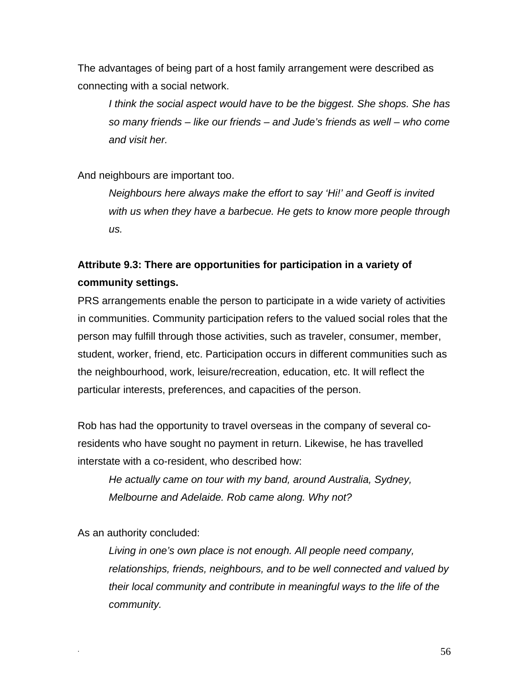The advantages of being part of a host family arrangement were described as connecting with a social network.

*I think the social aspect would have to be the biggest. She shops. She has so many friends – like our friends – and Jude's friends as well – who come and visit her.* 

And neighbours are important too.

*Neighbours here always make the effort to say 'Hi!' and Geoff is invited with us when they have a barbecue. He gets to know more people through us.* 

# **Attribute 9.3: There are opportunities for participation in a variety of community settings.**

PRS arrangements enable the person to participate in a wide variety of activities in communities. Community participation refers to the valued social roles that the person may fulfill through those activities, such as traveler, consumer, member, student, worker, friend, etc. Participation occurs in different communities such as the neighbourhood, work, leisure/recreation, education, etc. It will reflect the particular interests, preferences, and capacities of the person.

Rob has had the opportunity to travel overseas in the company of several coresidents who have sought no payment in return. Likewise, he has travelled interstate with a co-resident, who described how:

*He actually came on tour with my band, around Australia, Sydney, Melbourne and Adelaide. Rob came along. Why not?* 

As an authority concluded:

*Living in one's own place is not enough. All people need company, relationships, friends, neighbours, and to be well connected and valued by their local community and contribute in meaningful ways to the life of the community.*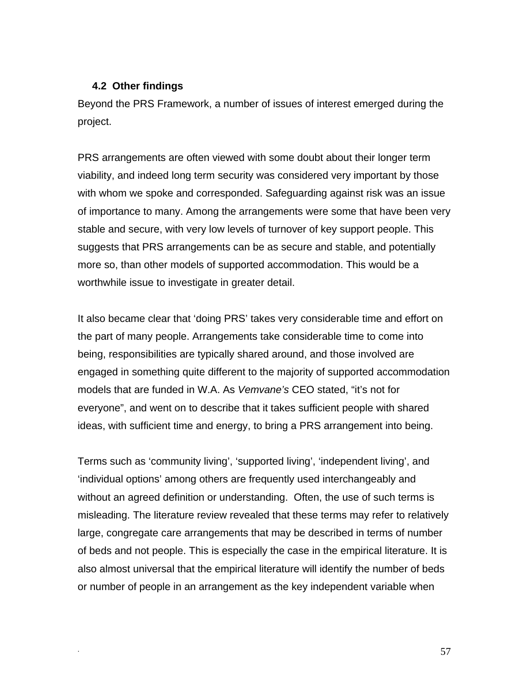#### **4.2 Other findings**

Beyond the PRS Framework, a number of issues of interest emerged during the project.

PRS arrangements are often viewed with some doubt about their longer term viability, and indeed long term security was considered very important by those with whom we spoke and corresponded. Safeguarding against risk was an issue of importance to many. Among the arrangements were some that have been very stable and secure, with very low levels of turnover of key support people. This suggests that PRS arrangements can be as secure and stable, and potentially more so, than other models of supported accommodation. This would be a worthwhile issue to investigate in greater detail.

It also became clear that 'doing PRS' takes very considerable time and effort on the part of many people. Arrangements take considerable time to come into being, responsibilities are typically shared around, and those involved are engaged in something quite different to the majority of supported accommodation models that are funded in W.A. As *Vemvane's* CEO stated, "it's not for everyone", and went on to describe that it takes sufficient people with shared ideas, with sufficient time and energy, to bring a PRS arrangement into being.

Terms such as 'community living', 'supported living', 'independent living', and 'individual options' among others are frequently used interchangeably and without an agreed definition or understanding. Often, the use of such terms is misleading. The literature review revealed that these terms may refer to relatively large, congregate care arrangements that may be described in terms of number of beds and not people. This is especially the case in the empirical literature. It is also almost universal that the empirical literature will identify the number of beds or number of people in an arrangement as the key independent variable when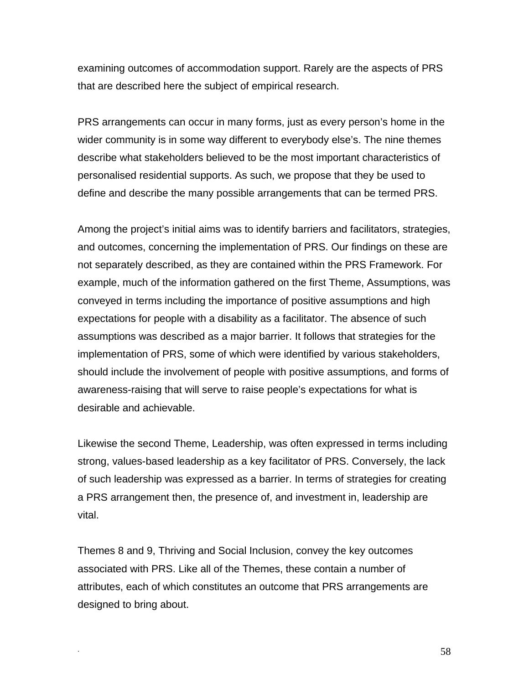examining outcomes of accommodation support. Rarely are the aspects of PRS that are described here the subject of empirical research.

PRS arrangements can occur in many forms, just as every person's home in the wider community is in some way different to everybody else's. The nine themes describe what stakeholders believed to be the most important characteristics of personalised residential supports. As such, we propose that they be used to define and describe the many possible arrangements that can be termed PRS.

Among the project's initial aims was to identify barriers and facilitators, strategies, and outcomes, concerning the implementation of PRS. Our findings on these are not separately described, as they are contained within the PRS Framework. For example, much of the information gathered on the first Theme, Assumptions, was conveyed in terms including the importance of positive assumptions and high expectations for people with a disability as a facilitator. The absence of such assumptions was described as a major barrier. It follows that strategies for the implementation of PRS, some of which were identified by various stakeholders, should include the involvement of people with positive assumptions, and forms of awareness-raising that will serve to raise people's expectations for what is desirable and achievable.

Likewise the second Theme, Leadership, was often expressed in terms including strong, values-based leadership as a key facilitator of PRS. Conversely, the lack of such leadership was expressed as a barrier. In terms of strategies for creating a PRS arrangement then, the presence of, and investment in, leadership are vital.

Themes 8 and 9, Thriving and Social Inclusion, convey the key outcomes associated with PRS. Like all of the Themes, these contain a number of attributes, each of which constitutes an outcome that PRS arrangements are designed to bring about.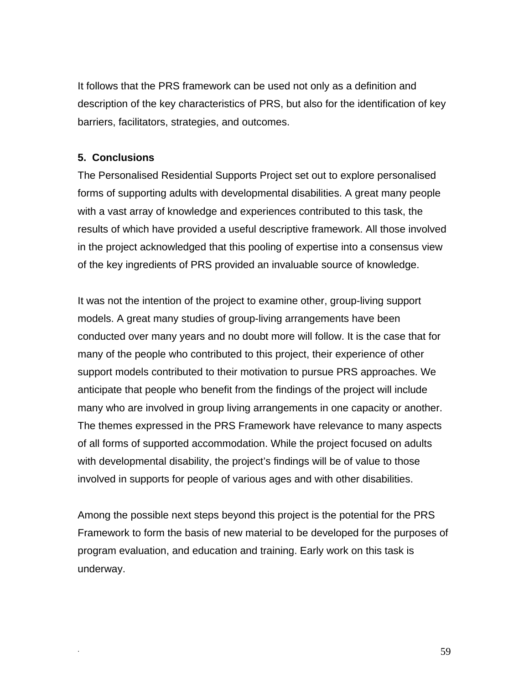It follows that the PRS framework can be used not only as a definition and description of the key characteristics of PRS, but also for the identification of key barriers, facilitators, strategies, and outcomes.

## **5. Conclusions**

The Personalised Residential Supports Project set out to explore personalised forms of supporting adults with developmental disabilities. A great many people with a vast array of knowledge and experiences contributed to this task, the results of which have provided a useful descriptive framework. All those involved in the project acknowledged that this pooling of expertise into a consensus view of the key ingredients of PRS provided an invaluable source of knowledge.

It was not the intention of the project to examine other, group-living support models. A great many studies of group-living arrangements have been conducted over many years and no doubt more will follow. It is the case that for many of the people who contributed to this project, their experience of other support models contributed to their motivation to pursue PRS approaches. We anticipate that people who benefit from the findings of the project will include many who are involved in group living arrangements in one capacity or another. The themes expressed in the PRS Framework have relevance to many aspects of all forms of supported accommodation. While the project focused on adults with developmental disability, the project's findings will be of value to those involved in supports for people of various ages and with other disabilities.

Among the possible next steps beyond this project is the potential for the PRS Framework to form the basis of new material to be developed for the purposes of program evaluation, and education and training. Early work on this task is underway.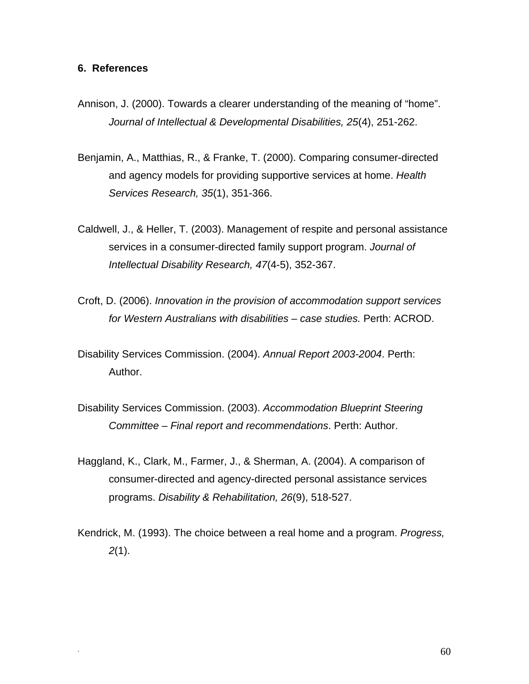#### **6. References**

- Annison, J. (2000). Towards a clearer understanding of the meaning of "home". *Journal of Intellectual & Developmental Disabilities, 25*(4), 251-262.
- Benjamin, A., Matthias, R., & Franke, T. (2000). Comparing consumer-directed and agency models for providing supportive services at home. *Health Services Research, 35*(1), 351-366.
- Caldwell, J., & Heller, T. (2003). Management of respite and personal assistance services in a consumer-directed family support program. *Journal of Intellectual Disability Research, 47*(4-5), 352-367.
- Croft, D. (2006). *Innovation in the provision of accommodation support services for Western Australians with disabilities – case studies.* Perth: ACROD.
- Disability Services Commission. (2004). *Annual Report 2003-2004*. Perth: Author.
- Disability Services Commission. (2003). *Accommodation Blueprint Steering Committee – Final report and recommendations*. Perth: Author.
- Haggland, K., Clark, M., Farmer, J., & Sherman, A. (2004). A comparison of consumer-directed and agency-directed personal assistance services programs. *Disability & Rehabilitation, 26*(9), 518-527.

Kendrick, M. (1993). The choice between a real home and a program. *Progress, 2*(1).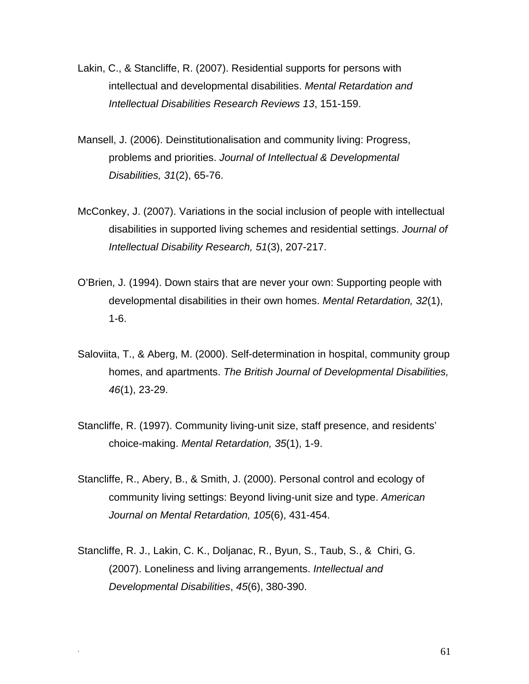- Lakin, C., & Stancliffe, R. (2007). Residential supports for persons with intellectual and developmental disabilities. *Mental Retardation and Intellectual Disabilities Research Reviews 13*, 151-159.
- Mansell, J. (2006). Deinstitutionalisation and community living: Progress, problems and priorities. *Journal of Intellectual & Developmental Disabilities, 31*(2), 65-76.
- McConkey, J. (2007). Variations in the social inclusion of people with intellectual disabilities in supported living schemes and residential settings. *Journal of Intellectual Disability Research, 51*(3), 207-217.
- O'Brien, J. (1994). Down stairs that are never your own: Supporting people with developmental disabilities in their own homes. *Mental Retardation, 32*(1), 1-6.
- Saloviita, T., & Aberg, M. (2000). Self-determination in hospital, community group homes, and apartments. *The British Journal of Developmental Disabilities, 46*(1), 23-29.
- Stancliffe, R. (1997). Community living-unit size, staff presence, and residents' choice-making. *Mental Retardation, 35*(1), 1-9.
- Stancliffe, R., Abery, B., & Smith, J. (2000). Personal control and ecology of community living settings: Beyond living-unit size and type. *American Journal on Mental Retardation, 105*(6), 431-454.
- Stancliffe, R. J., Lakin, C. K., Doljanac, R., Byun, S., Taub, S., & Chiri, G. (2007). Loneliness and living arrangements. *Intellectual and Developmental Disabilities*, *45*(6), 380-390.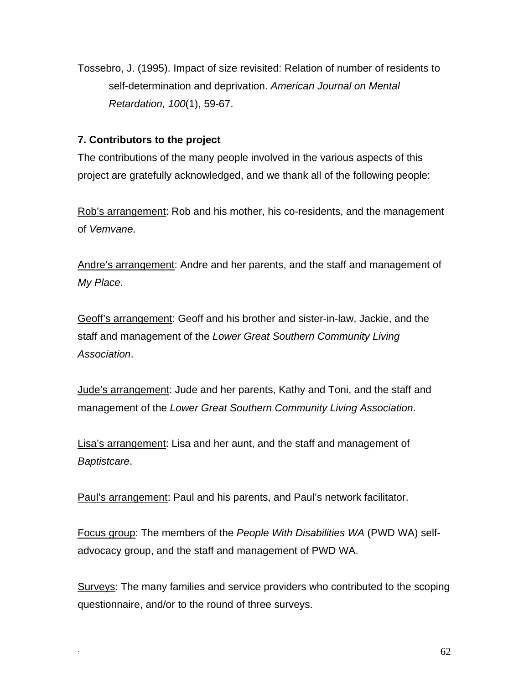Tossebro, J. (1995). Impact of size revisited: Relation of number of residents to self-determination and deprivation. *American Journal on Mental Retardation, 100*(1), 59-67.

## **7. Contributors to the project**

The contributions of the many people involved in the various aspects of this project are gratefully acknowledged, and we thank all of the following people:

Rob's arrangement: Rob and his mother, his co-residents, and the management of *Vemvane*.

Andre's arrangement: Andre and her parents, and the staff and management of *My Place*.

Geoff's arrangement: Geoff and his brother and sister-in-law, Jackie, and the staff and management of the *Lower Great Southern Community Living Association*.

Jude's arrangement: Jude and her parents, Kathy and Toni, and the staff and management of the *Lower Great Southern Community Living Association*.

Lisa's arrangement: Lisa and her aunt, and the staff and management of *Baptistcare*.

Paul's arrangement: Paul and his parents, and Paul's network facilitator.

Focus group: The members of the *People With Disabilities WA* (PWD WA) selfadvocacy group, and the staff and management of PWD WA.

Surveys: The many families and service providers who contributed to the scoping questionnaire, and/or to the round of three surveys.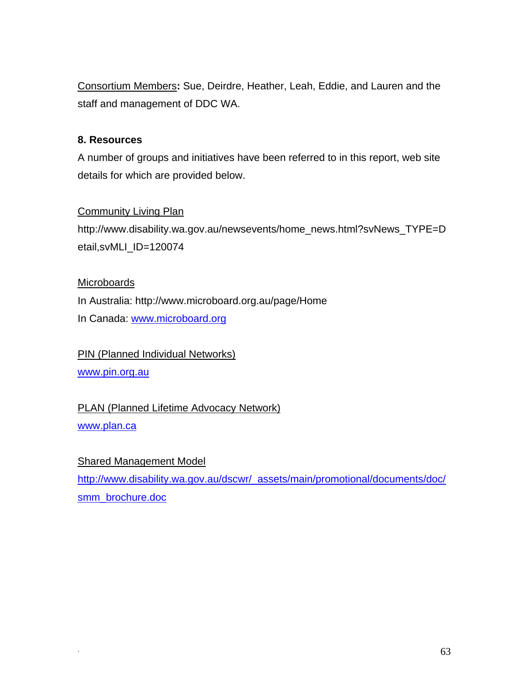Consortium Members**:** Sue, Deirdre, Heather, Leah, Eddie, and Lauren and the staff and management of DDC WA.

## **8. Resources**

A number of groups and initiatives have been referred to in this report, web site details for which are provided below.

## **Community Living Plan**

[http://www.disability.wa.gov.au/newsevents/home\\_news.html?svNews\\_TYPE=D](http://www.disability.wa.gov.au/newsevents/home_news.html?svNews_TYPE=Detail,svMLI_ID=120074) [etail,svMLI\\_ID=120074](http://www.disability.wa.gov.au/newsevents/home_news.html?svNews_TYPE=Detail,svMLI_ID=120074)

## **Microboards**

In Australia: <http://www.microboard.org.au/page/Home>

In Canada: [www.microboard.org](http://www.microboard.org/)

PIN (Planned Individual Networks) [www.pin.org.au](http://www.pin.org.au/) 

PLAN (Planned Lifetime Advocacy Network)

[www.plan.ca](http://www.plan.ca/)

## Shared Management Model

[http://www.disability.wa.gov.au/dscwr/\\_assets/main/promotional/documents/doc/](http://www.disability.wa.gov.au/dscwr/_assets/main/promotional/documents/doc/smm_brochure.doc) smm\_brochure.doc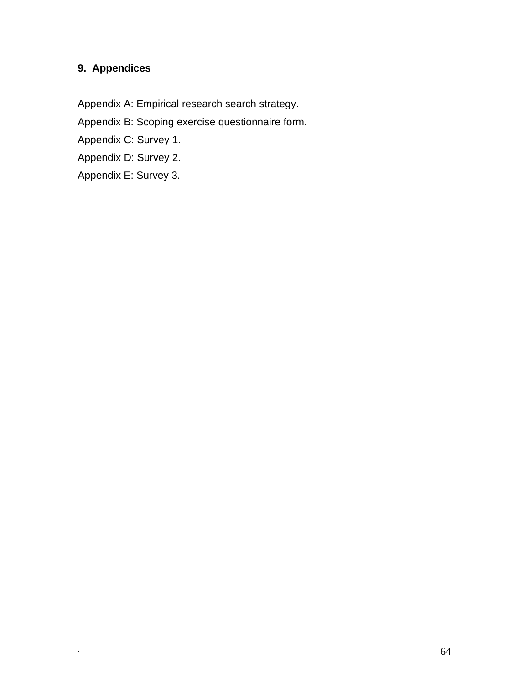## **9. Appendices**

Appendix A: Empirical research search strategy.

Appendix B: Scoping exercise questionnaire form.

Appendix C: Survey 1.

Appendix D: Survey 2.

Appendix E: Survey 3.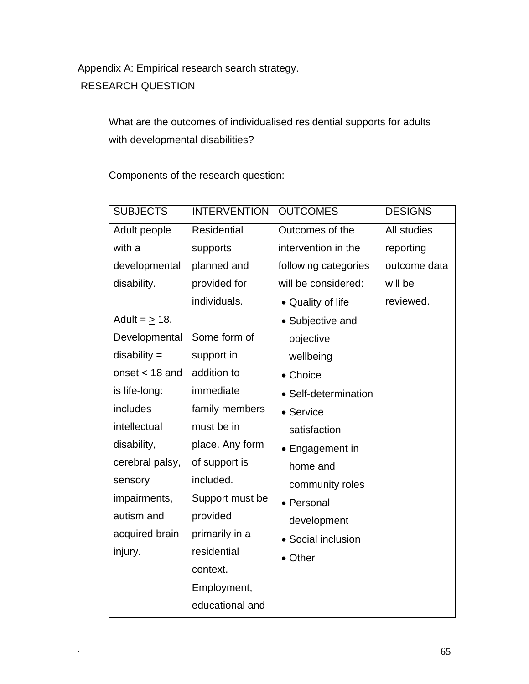## Appendix A: Empirical research search strategy.

RESEARCH QUESTION

What are the outcomes of individualised residential supports for adults with developmental disabilities?

Components of the research question:

| <b>SUBJECTS</b>     | <b>INTERVENTION</b> | <b>OUTCOMES</b>      | <b>DESIGNS</b> |
|---------------------|---------------------|----------------------|----------------|
| Adult people        | Residential         | Outcomes of the      | All studies    |
| with a              | supports            | intervention in the  | reporting      |
| developmental       | planned and         | following categories | outcome data   |
| disability.         | provided for        | will be considered:  | will be        |
|                     | individuals.        | • Quality of life    | reviewed.      |
| Adult = $\geq$ 18.  |                     | • Subjective and     |                |
| Developmental       | Some form of        | objective            |                |
| $disability =$      | support in          | wellbeing            |                |
| onset $\leq$ 18 and | addition to         | • Choice             |                |
| is life-long:       | immediate           | • Self-determination |                |
| includes            | family members      | • Service            |                |
| intellectual        | must be in          | satisfaction         |                |
| disability,         | place. Any form     | • Engagement in      |                |
| cerebral palsy,     | of support is       | home and             |                |
| sensory             | included.           | community roles      |                |
| impairments,        | Support must be     | • Personal           |                |
| autism and          | provided            | development          |                |
| acquired brain      | primarily in a      | • Social inclusion   |                |
| injury.             | residential         | • Other              |                |
|                     | context.            |                      |                |
|                     | Employment,         |                      |                |
|                     | educational and     |                      |                |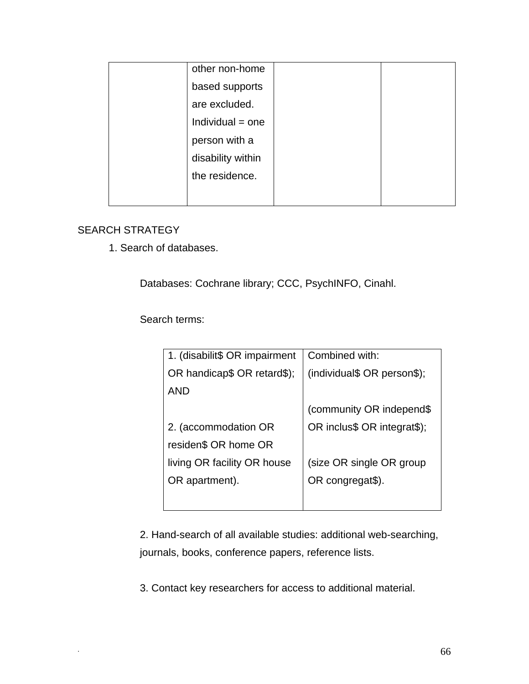| other non-home     |  |
|--------------------|--|
| based supports     |  |
| are excluded.      |  |
| $Individual = one$ |  |
| person with a      |  |
| disability within  |  |
| the residence.     |  |
|                    |  |

## SEARCH STRATEGY

1. Search of databases.

Databases: Cochrane library; CCC, PsychINFO, Cinahl.

Search terms:

| 1. (disabilit\$ OR impairment | Combined with:              |
|-------------------------------|-----------------------------|
| OR handicap\$ OR retard\$);   | (individual\$ OR person\$); |
| <b>AND</b>                    |                             |
|                               | (community OR independ\$    |
| 2. (accommodation OR          | OR inclus\$ OR integrat\$); |
| residen\$ OR home OR          |                             |
| living OR facility OR house   | (size OR single OR group    |
| OR apartment).                | OR congregat\$).            |
|                               |                             |

2. Hand-search of all available studies: additional web-searching, journals, books, conference papers, reference lists.

3. Contact key researchers for access to additional material.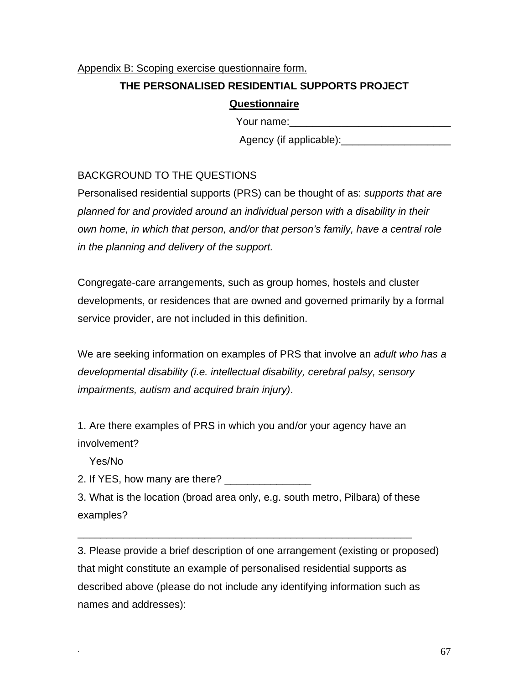## Appendix B: Scoping exercise questionnaire form.

## **THE PERSONALISED RESIDENTIAL SUPPORTS PROJECT**

## **Questionnaire**

Your name:\_\_\_\_\_\_\_\_\_\_\_\_\_\_\_\_\_\_\_\_\_\_\_\_\_\_\_\_

Agency (if applicable):\_\_\_\_\_\_\_\_\_\_\_\_\_\_\_\_\_\_\_

## BACKGROUND TO THE QUESTIONS

Personalised residential supports (PRS) can be thought of as: *supports that are planned for and provided around an individual person with a disability in their own home, in which that person, and/or that person's family, have a central role in the planning and delivery of the support.*

Congregate-care arrangements, such as group homes, hostels and cluster developments, or residences that are owned and governed primarily by a formal service provider, are not included in this definition.

We are seeking information on examples of PRS that involve an *adult who has a developmental disability (i.e. intellectual disability, cerebral palsy, sensory impairments, autism and acquired brain injury)*.

1. Are there examples of PRS in which you and/or your agency have an involvement?

Yes/No

2. If YES, how many are there? \_\_\_\_\_\_\_\_\_\_\_\_\_\_\_

3. What is the location (broad area only, e.g. south metro, Pilbara) of these examples?

\_\_\_\_\_\_\_\_\_\_\_\_\_\_\_\_\_\_\_\_\_\_\_\_\_\_\_\_\_\_\_\_\_\_\_\_\_\_\_\_\_\_\_\_\_\_\_\_\_\_\_\_\_\_\_\_\_\_

3. Please provide a brief description of one arrangement (existing or proposed) that might constitute an example of personalised residential supports as described above (please do not include any identifying information such as names and addresses):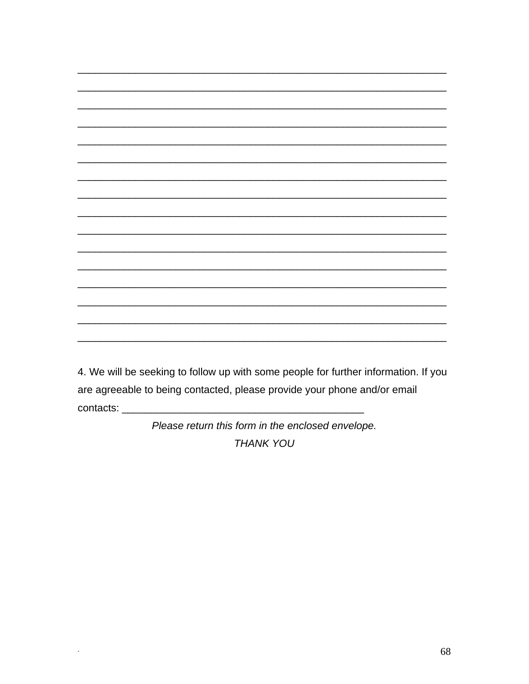4. We will be seeking to follow up with some people for further information. If you are agreeable to being contacted, please provide your phone and/or email 

> Please return this form in the enclosed envelope. **THANK YOU**

 $\ddot{\phantom{0}}$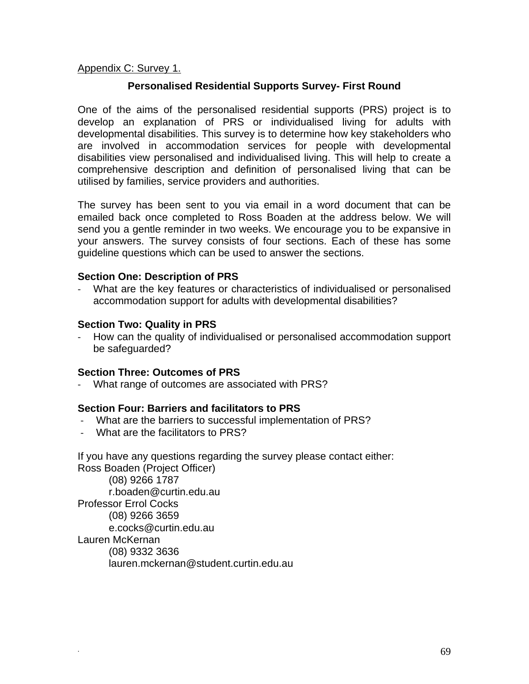#### Appendix C: Survey 1.

#### **Personalised Residential Supports Survey- First Round**

One of the aims of the personalised residential supports (PRS) project is to develop an explanation of PRS or individualised living for adults with developmental disabilities. This survey is to determine how key stakeholders who are involved in accommodation services for people with developmental disabilities view personalised and individualised living. This will help to create a comprehensive description and definition of personalised living that can be utilised by families, service providers and authorities.

The survey has been sent to you via email in a word document that can be emailed back once completed to Ross Boaden at the address below. We will send you a gentle reminder in two weeks. We encourage you to be expansive in your answers. The survey consists of four sections. Each of these has some guideline questions which can be used to answer the sections.

#### **Section One: Description of PRS**

‐ What are the key features or characteristics of individualised or personalised accommodation support for adults with developmental disabilities?

#### **Section Two: Quality in PRS**

‐ How can the quality of individualised or personalised accommodation support be safeguarded?

#### **Section Three: Outcomes of PRS**

What range of outcomes are associated with PRS?

#### **Section Four: Barriers and facilitators to PRS**

- ‐ What are the barriers to successful implementation of PRS?
- ‐ What are the facilitators to PRS?

If you have any questions regarding the survey please contact either:

Ross Boaden (Project Officer) (08) 9266 1787 [r.boaden@curtin.edu.au](javascript:main.compose()  Professor Errol Cocks (08) 9266 3659 [e.cocks@curtin.edu.au](javascript:main.compose() Lauren McKernan (08) 9332 3636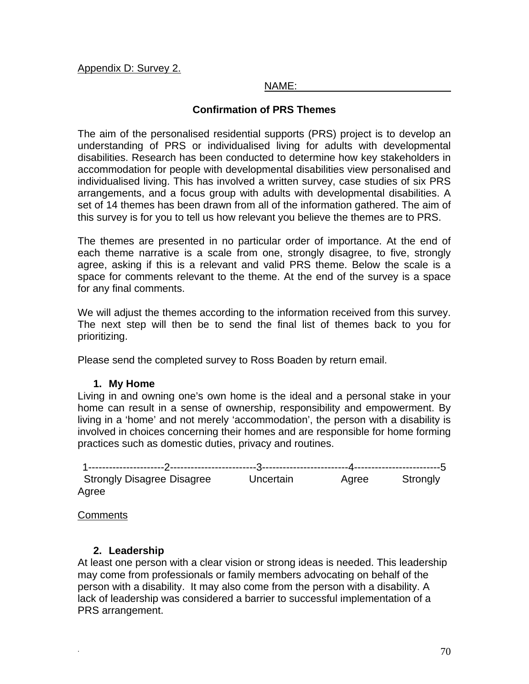#### Appendix D: Survey 2.

#### NAME:

## **Confirmation of PRS Themes**

The aim of the personalised residential supports (PRS) project is to develop an understanding of PRS or individualised living for adults with developmental disabilities. Research has been conducted to determine how key stakeholders in accommodation for people with developmental disabilities view personalised and individualised living. This has involved a written survey, case studies of six PRS arrangements, and a focus group with adults with developmental disabilities. A set of 14 themes has been drawn from all of the information gathered. The aim of this survey is for you to tell us how relevant you believe the themes are to PRS.

The themes are presented in no particular order of importance. At the end of each theme narrative is a scale from one, strongly disagree, to five, strongly agree, asking if this is a relevant and valid PRS theme. Below the scale is a space for comments relevant to the theme. At the end of the survey is a space for any final comments.

We will adjust the themes according to the information received from this survey. The next step will then be to send the final list of themes back to you for prioritizing.

Please send the completed survey to Ross Boaden by return email.

## **1. My Home**

Living in and owning one's own home is the ideal and a personal stake in your home can result in a sense of ownership, responsibility and empowerment. By living in a 'home' and not merely 'accommodation', the person with a disability is involved in choices concerning their homes and are responsible for home forming practices such as domestic duties, privacy and routines.

| <b>Strongly Disagree Disagree</b> | Uncertain | Agree | Strongly |
|-----------------------------------|-----------|-------|----------|
| Agree                             |           |       |          |

**Comments** 

#### **2. Leadership**

At least one person with a clear vision or strong ideas is needed. This leadership may come from professionals or family members advocating on behalf of the person with a disability. It may also come from the person with a disability. A lack of leadership was considered a barrier to successful implementation of a PRS arrangement.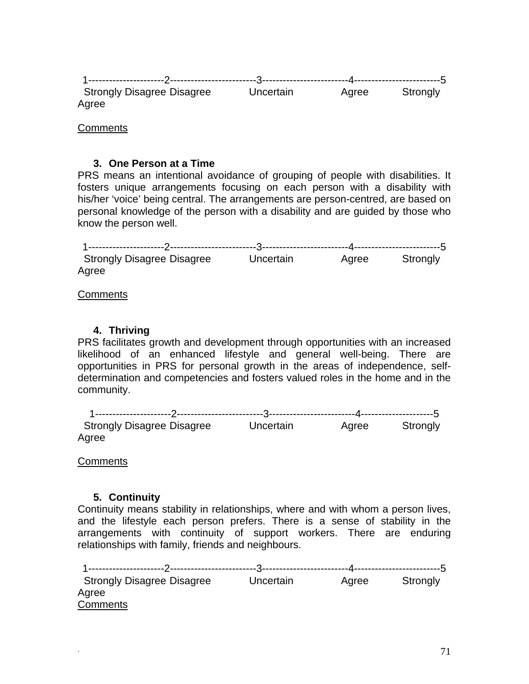| <b>Strongly Disagree Disagree</b> | Uncertain | Agree | Strongly |
|-----------------------------------|-----------|-------|----------|
| Agree                             |           |       |          |

**Comments** 

#### **3. One Person at a Time**

PRS means an intentional avoidance of grouping of people with disabilities. It fosters unique arrangements focusing on each person with a disability with his/her 'voice' being central. The arrangements are person-centred, are based on personal knowledge of the person with a disability and are guided by those who know the person well.

| <b>Strongly Disagree Disagree</b> | Uncertain | Agree | Strongly |
|-----------------------------------|-----------|-------|----------|
| Agree                             |           |       |          |

**Comments** 

#### **4. Thriving**

PRS facilitates growth and development through opportunities with an increased likelihood of an enhanced lifestyle and general well-being. There are opportunities in PRS for personal growth in the areas of independence, selfdetermination and competencies and fosters valued roles in the home and in the community.

|       | <b>Strongly Disagree Disagree</b> | Uncertain | Agree | Strongly |
|-------|-----------------------------------|-----------|-------|----------|
| Agree |                                   |           |       |          |

**Comments** 

## **5. Continuity**

Continuity means stability in relationships, where and with whom a person lives, and the lifestyle each person prefers. There is a sense of stability in the arrangements with continuity of support workers. There are enduring relationships with family, friends and neighbours.

1----------------------2-------------------------3-------------------------4-------------------------5 Strongly Disagree Disagree Uncertain Agree Strongly Agree **Comments**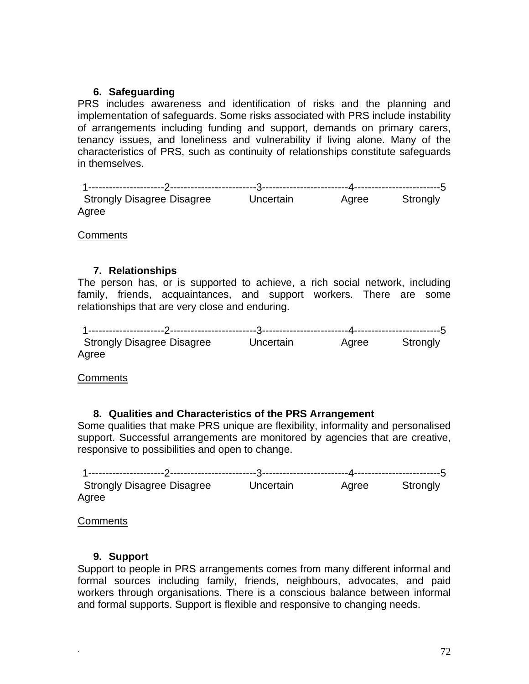## **6. Safeguarding**

PRS includes awareness and identification of risks and the planning and implementation of safeguards. Some risks associated with PRS include instability of arrangements including funding and support, demands on primary carers, tenancy issues, and loneliness and vulnerability if living alone. Many of the characteristics of PRS, such as continuity of relationships constitute safeguards in themselves.

| <b>Strongly Disagree Disagree</b> | Uncertain | Agree | Strongly |
|-----------------------------------|-----------|-------|----------|
|                                   |           |       |          |
| Agree                             |           |       |          |

**Comments** 

## **7. Relationships**

The person has, or is supported to achieve, a rich social network, including family, friends, acquaintances, and support workers. There are some relationships that are very close and enduring.

| <b>Strongly Disagree Disagree</b> | Uncertain | Agree | Strongly |
|-----------------------------------|-----------|-------|----------|
| Agree                             |           |       |          |

**Comments** 

## **8. Qualities and Characteristics of the PRS Arrangement**

Some qualities that make PRS unique are flexibility, informality and personalised support. Successful arrangements are monitored by agencies that are creative, responsive to possibilities and open to change.

| <b>Strongly Disagree Disagree</b> | Uncertain | Agree | Strongly |
|-----------------------------------|-----------|-------|----------|
| Agree                             |           |       |          |

**Comments** 

## **9. Support**

Support to people in PRS arrangements comes from many different informal and formal sources including family, friends, neighbours, advocates, and paid workers through organisations. There is a conscious balance between informal and formal supports. Support is flexible and responsive to changing needs.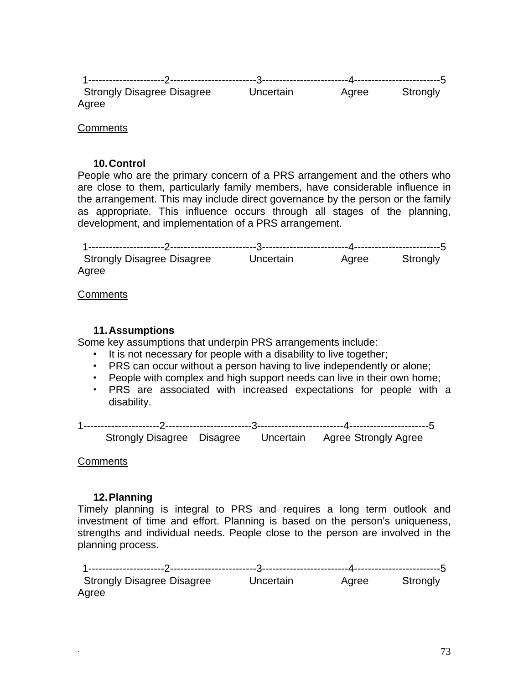| <b>Strongly Disagree Disagree</b> | Uncertain | Agree | Strongly |
|-----------------------------------|-----------|-------|----------|
| Agree                             |           |       |          |

# **Comments**

# **10. Control**

People who are the primary concern of a PRS arrangement and the others who are close to them, particularly family members, have considerable influence in the arrangement. This may include direct governance by the person or the family as appropriate. This influence occurs through all stages of the planning, development, and implementation of a PRS arrangement.

| <b>Strongly Disagree Disagree</b> | Uncertain | Agree | Strongly |
|-----------------------------------|-----------|-------|----------|
| Agree                             |           |       |          |

**Comments** 

# **11. Assumptions**

Some key assumptions that underpin PRS arrangements include:

- It is not necessary for people with a disability to live together;
- PRS can occur without a person having to live independently or alone;
- People with complex and high support needs can live in their own home;
- PRS are associated with increased expectations for people with a disability.

1----------------------2-------------------------3-------------------------4-----------------------5 Strongly Disagree Disagree Uncertain Agree Strongly Agree

**Comments** 

# **12. Planning**

Timely planning is integral to PRS and requires a long term outlook and investment of time and effort. Planning is based on the person's uniqueness, strengths and individual needs. People close to the person are involved in the planning process.

1----------------------2-------------------------3-------------------------4-------------------------5 Strongly Disagree Disagree Uncertain Agree Strongly Agree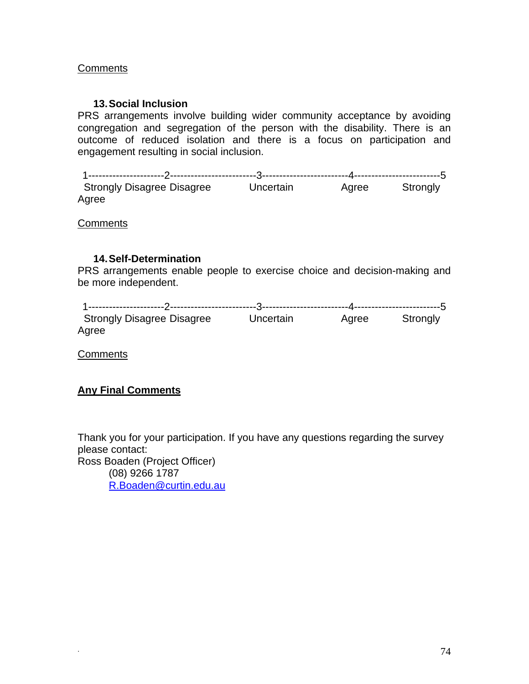# **Comments**

# **13. Social Inclusion**

PRS arrangements involve building wider community acceptance by avoiding congregation and segregation of the person with the disability. There is an outcome of reduced isolation and there is a focus on participation and engagement resulting in social inclusion.

1----------------------2-------------------------3-------------------------4-------------------------5 Strongly Disagree Disagree Uncertain Agree Strongly Agree

**Comments** 

# **14. Self-Determination**

PRS arrangements enable people to exercise choice and decision-making and be more independent.

| <b>Strongly Disagree Disagree</b> | Uncertain | Agree | Strongly |
|-----------------------------------|-----------|-------|----------|
| Agree                             |           |       |          |

**Comments** 

# **Any Final Comments**

Thank you for your participation. If you have any questions regarding the survey please contact: Ross Boaden (Project Officer) (08) 9266 1787 [R.Boaden@curtin.edu.au](mailto:R.Boaden@curtin.edu.au)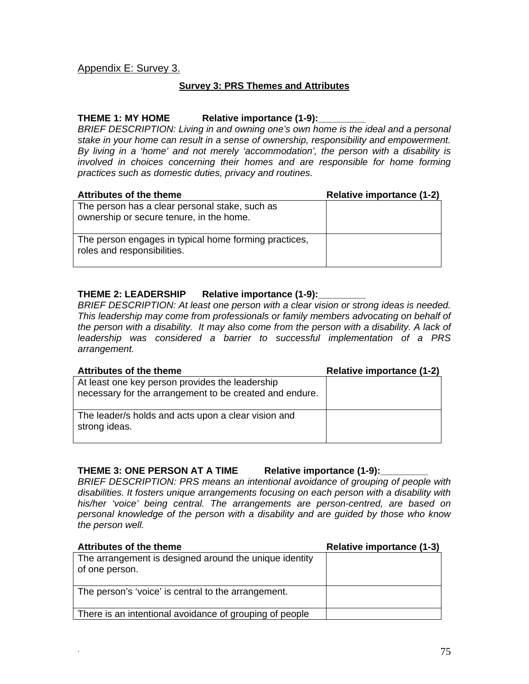# Appendix E: Survey 3.

## **Survey 3: PRS Themes and Attributes**

#### THEME 1: MY HOME Relative importance (1-9):

*BRIEF DESCRIPTION: Living in and owning one's own home is the ideal and a personal stake in your home can result in a sense of ownership, responsibility and empowerment. By living in a 'home' and not merely 'accommodation', the person with a disability is involved in choices concerning their homes and are responsible for home forming practices such as domestic duties, privacy and routines.* 

| <b>Attributes of the theme</b>                                                             | <b>Relative importance (1-2)</b> |
|--------------------------------------------------------------------------------------------|----------------------------------|
| The person has a clear personal stake, such as<br>ownership or secure tenure, in the home. |                                  |
| The person engages in typical home forming practices,<br>roles and responsibilities.       |                                  |

#### **THEME 2: LEADERSHIP Relative importance (1-9):\_\_\_\_\_\_\_\_\_**

*BRIEF DESCRIPTION: At least one person with a clear vision or strong ideas is needed. This leadership may come from professionals or family members advocating on behalf of the person with a disability. It may also come from the person with a disability. A lack of leadership was considered a barrier to successful implementation of a PRS arrangement.* 

| <b>Attributes of the theme</b>                                                                             | <b>Relative importance (1-2)</b> |
|------------------------------------------------------------------------------------------------------------|----------------------------------|
| At least one key person provides the leadership<br>necessary for the arrangement to be created and endure. |                                  |
| The leader/s holds and acts upon a clear vision and<br>strong ideas.                                       |                                  |

## **THEME 3: ONE PERSON AT A TIME Relative importance (1-9):\_\_\_\_\_\_\_\_\_**

*BRIEF DESCRIPTION: PRS means an intentional avoidance of grouping of people with disabilities. It fosters unique arrangements focusing on each person with a disability with his/her 'voice' being central. The arrangements are person-centred, are based on personal knowledge of the person with a disability and are guided by those who know the person well.* 

| <b>Attributes of the theme</b>                                           | <b>Relative importance (1-3)</b> |
|--------------------------------------------------------------------------|----------------------------------|
| The arrangement is designed around the unique identity<br>of one person. |                                  |
| The person's 'voice' is central to the arrangement.                      |                                  |
| There is an intentional avoidance of grouping of people                  |                                  |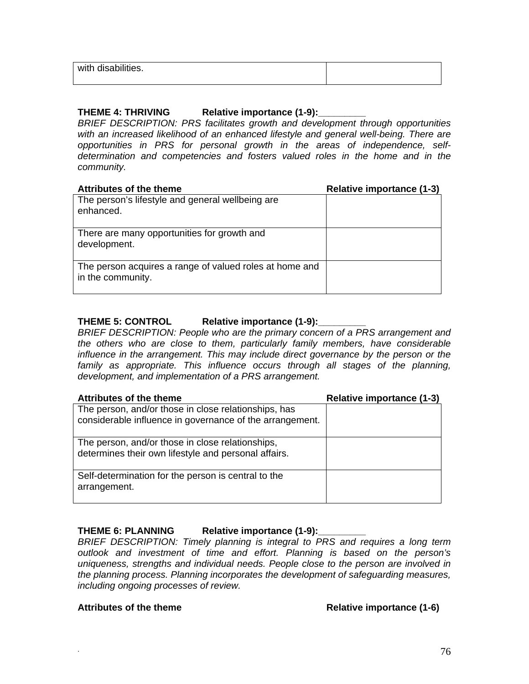| with disabilities. |  |
|--------------------|--|
|                    |  |

### **THEME 4: THRIVING Relative importance (1-9):\_\_\_\_\_\_\_\_\_**

*BRIEF DESCRIPTION: PRS facilitates growth and development through opportunities with an increased likelihood of an enhanced lifestyle and general well-being. There are opportunities in PRS for personal growth in the areas of independence, selfdetermination and competencies and fosters valued roles in the home and in the community.* 

| <b>Attributes of the theme</b>                                               | <b>Relative importance (1-3)</b> |
|------------------------------------------------------------------------------|----------------------------------|
| The person's lifestyle and general wellbeing are<br>enhanced.                |                                  |
| There are many opportunities for growth and<br>development.                  |                                  |
| The person acquires a range of valued roles at home and<br>in the community. |                                  |

#### **THEME 5: CONTROL Relative importance (1-9):**

*BRIEF DESCRIPTION: People who are the primary concern of a PRS arrangement and the others who are close to them, particularly family members, have considerable influence in the arrangement. This may include direct governance by the person or the family as appropriate. This influence occurs through all stages of the planning, development, and implementation of a PRS arrangement.* 

| <b>Attributes of the theme</b>                                                                                   | <b>Relative importance (1-3)</b> |
|------------------------------------------------------------------------------------------------------------------|----------------------------------|
| The person, and/or those in close relationships, has<br>considerable influence in governance of the arrangement. |                                  |
| The person, and/or those in close relationships,<br>determines their own lifestyle and personal affairs.         |                                  |
| Self-determination for the person is central to the<br>arrangement.                                              |                                  |

## THEME 6: PLANNING Relative importance (1-9):

*BRIEF DESCRIPTION: Timely planning is integral to PRS and requires a long term outlook and investment of time and effort. Planning is based on the person's uniqueness, strengths and individual needs. People close to the person are involved in the planning process. Planning incorporates the development of safeguarding measures, including ongoing processes of review.* 

#### Attributes of the theme **Relative importance** (1-6)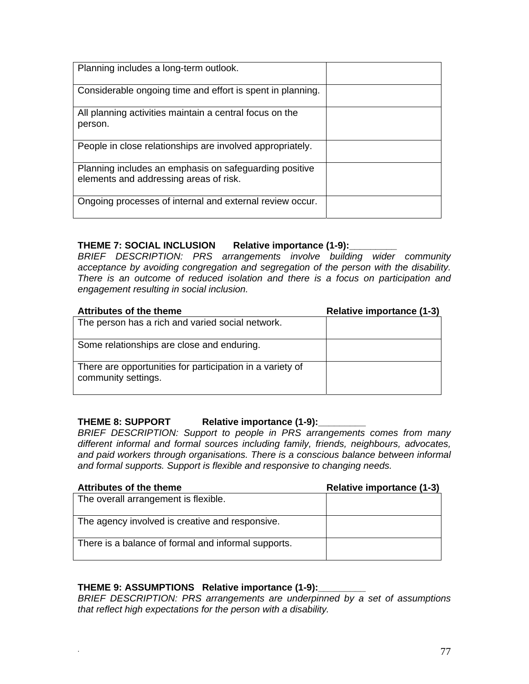| Planning includes a long-term outlook.                                                           |  |
|--------------------------------------------------------------------------------------------------|--|
| Considerable ongoing time and effort is spent in planning.                                       |  |
| All planning activities maintain a central focus on the<br>person.                               |  |
| People in close relationships are involved appropriately.                                        |  |
| Planning includes an emphasis on safeguarding positive<br>elements and addressing areas of risk. |  |
| Ongoing processes of internal and external review occur.                                         |  |

# **THEME 7: SOCIAL INCLUSION Relative importance (1-9):\_\_\_\_\_\_\_\_\_**

*BRIEF DESCRIPTION: PRS arrangements involve building wider community acceptance by avoiding congregation and segregation of the person with the disability. There is an outcome of reduced isolation and there is a focus on participation and engagement resulting in social inclusion.* 

| <b>Attributes of the theme</b>                                                   | <b>Relative importance (1-3)</b> |
|----------------------------------------------------------------------------------|----------------------------------|
| The person has a rich and varied social network.                                 |                                  |
| Some relationships are close and enduring.                                       |                                  |
| There are opportunities for participation in a variety of<br>community settings. |                                  |

## THEME 8: SUPPORT Relative importance (1-9):

*BRIEF DESCRIPTION: Support to people in PRS arrangements comes from many different informal and formal sources including family, friends, neighbours, advocates, and paid workers through organisations. There is a conscious balance between informal and formal supports. Support is flexible and responsive to changing needs.* 

| <b>Attributes of the theme</b>                      | Relative importance (1-3) |
|-----------------------------------------------------|---------------------------|
| The overall arrangement is flexible.                |                           |
|                                                     |                           |
| The agency involved is creative and responsive.     |                           |
| There is a balance of formal and informal supports. |                           |

# **THEME 9: ASSUMPTIONS Relative importance (1-9):\_\_\_\_\_\_\_\_\_**

*BRIEF DESCRIPTION: PRS arrangements are underpinned by a set of assumptions that reflect high expectations for the person with a disability.*